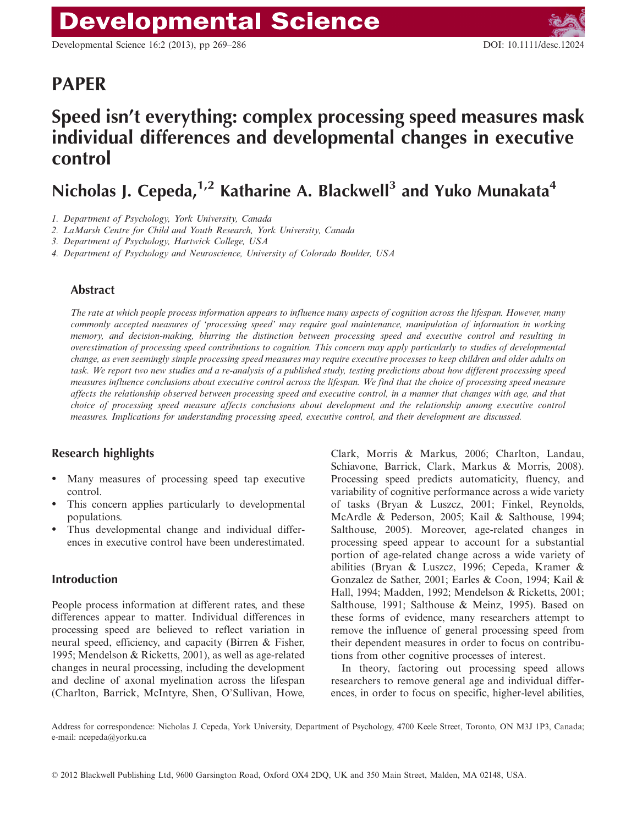Developmental Science 16:2 (2013), pp 269-286 DOI: 10.1111/desc.12024

# PAPER

# Speed isn't everything: complex processing speed measures mask individual differences and developmental changes in executive control

Nicholas J. Cepeda,<sup>1,2</sup> Katharine A. Blackwell<sup>3</sup> and Yuko Munakata<sup>4</sup>

3. Department of Psychology, Hartwick College, USA

4. Department of Psychology and Neuroscience, University of Colorado Boulder, USA

# Abstract

The rate at which people process information appears to influence many aspects of cognition across the lifespan. However, many commonly accepted measures of 'processing speed' may require goal maintenance, manipulation of information in working memory, and decision-making, blurring the distinction between processing speed and executive control and resulting in overestimation of processing speed contributions to cognition. This concern may apply particularly to studies of developmental change, as even seemingly simple processing speed measures may require executive processes to keep children and older adults on task. We report two new studies and a re-analysis of a published study, testing predictions about how different processing speed measures influence conclusions about executive control across the lifespan. We find that the choice of processing speed measure affects the relationship observed between processing speed and executive control, in a manner that changes with age, and that choice of processing speed measure affects conclusions about development and the relationship among executive control measures. Implications for understanding processing speed, executive control, and their development are discussed.

# Research highlights

- Many measures of processing speed tap executive control.
- This concern applies particularly to developmental populations.
- Thus developmental change and individual differences in executive control have been underestimated.

# Introduction

People process information at different rates, and these differences appear to matter. Individual differences in processing speed are believed to reflect variation in neural speed, efficiency, and capacity (Birren & Fisher, 1995; Mendelson & Ricketts, 2001), as well as age-related changes in neural processing, including the development and decline of axonal myelination across the lifespan (Charlton, Barrick, McIntyre, Shen, O'Sullivan, Howe,

Clark, Morris & Markus, 2006; Charlton, Landau, Schiavone, Barrick, Clark, Markus & Morris, 2008). Processing speed predicts automaticity, fluency, and variability of cognitive performance across a wide variety of tasks (Bryan & Luszcz, 2001; Finkel, Reynolds, McArdle & Pederson, 2005; Kail & Salthouse, 1994; Salthouse, 2005). Moreover, age-related changes in processing speed appear to account for a substantial portion of age-related change across a wide variety of abilities (Bryan & Luszcz, 1996; Cepeda, Kramer & Gonzalez de Sather, 2001; Earles & Coon, 1994; Kail & Hall, 1994; Madden, 1992; Mendelson & Ricketts, 2001; Salthouse, 1991; Salthouse & Meinz, 1995). Based on these forms of evidence, many researchers attempt to remove the influence of general processing speed from their dependent measures in order to focus on contributions from other cognitive processes of interest.

In theory, factoring out processing speed allows researchers to remove general age and individual differences, in order to focus on specific, higher-level abilities,

Address for correspondence: Nicholas J. Cepeda, York University, Department of Psychology, 4700 Keele Street, Toronto, ON M3J 1P3, Canada; e-mail: ncepeda@yorku.ca

© 2012 Blackwell Publishing Ltd, 9600 Garsington Road, Oxford OX4 2DQ, UK and 350 Main Street, Malden, MA 02148, USA.

<sup>1.</sup> Department of Psychology, York University, Canada

<sup>2.</sup> LaMarsh Centre for Child and Youth Research, York University, Canada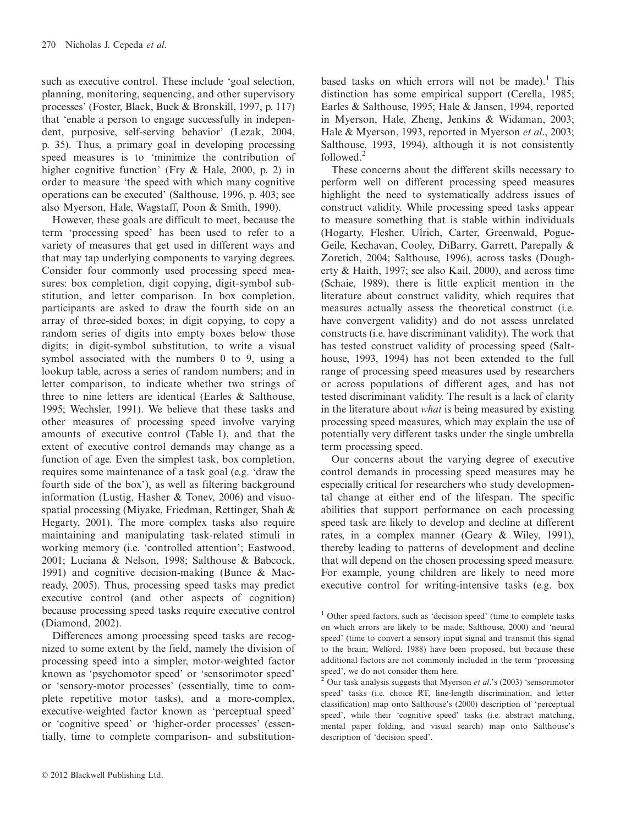such as executive control. These include 'goal selection, planning, monitoring, sequencing, and other supervisory processes' (Foster, Black, Buck & Bronskill, 1997, p. 117) that 'enable a person to engage successfully in independent, purposive, self-serving behavior' (Lezak, 2004, p. 35). Thus, a primary goal in developing processing speed measures is to 'minimize the contribution of higher cognitive function' (Fry & Hale, 2000, p. 2) in order to measure 'the speed with which many cognitive operations can be executed' (Salthouse, 1996, p. 403; see also Myerson, Hale, Wagstaff, Poon & Smith, 1990).

However, these goals are difficult to meet, because the term 'processing speed' has been used to refer to a variety of measures that get used in different ways and that may tap underlying components to varying degrees. Consider four commonly used processing speed measures: box completion, digit copying, digit-symbol substitution, and letter comparison. In box completion, participants are asked to draw the fourth side on an array of three-sided boxes; in digit copying, to copy a random series of digits into empty boxes below those digits; in digit-symbol substitution, to write a visual symbol associated with the numbers 0 to 9, using a lookup table, across a series of random numbers; and in letter comparison, to indicate whether two strings of three to nine letters are identical (Earles & Salthouse, 1995; Wechsler, 1991). We believe that these tasks and other measures of processing speed involve varying amounts of executive control (Table 1), and that the extent of executive control demands may change as a function of age. Even the simplest task, box completion, requires some maintenance of a task goal (e.g. 'draw the fourth side of the box'), as well as filtering background information (Lustig, Hasher & Tonev, 2006) and visuospatial processing (Miyake, Friedman, Rettinger, Shah & Hegarty, 2001). The more complex tasks also require maintaining and manipulating task-related stimuli in working memory (i.e. 'controlled attention'; Eastwood, 2001; Luciana & Nelson, 1998; Salthouse & Babcock, 1991) and cognitive decision-making (Bunce & Macready, 2005). Thus, processing speed tasks may predict executive control (and other aspects of cognition) because processing speed tasks require executive control (Diamond, 2002).

Differences among processing speed tasks are recognized to some extent by the field, namely the division of processing speed into a simpler, motor-weighted factor known as 'psychomotor speed' or 'sensorimotor speed' or 'sensory-motor processes' (essentially, time to complete repetitive motor tasks), and a more-complex, executive-weighted factor known as 'perceptual speed' or 'cognitive speed' or 'higher-order processes' (essentially, time to complete comparison- and substitutionbased tasks on which errors will not be made).<sup>1</sup> This distinction has some empirical support (Cerella, 1985; Earles & Salthouse, 1995; Hale & Jansen, 1994, reported in Myerson, Hale, Zheng, Jenkins & Widaman, 2003; Hale & Myerson, 1993, reported in Myerson et al., 2003; Salthouse, 1993, 1994), although it is not consistently followed. $<sup>2</sup>$ </sup>

These concerns about the different skills necessary to perform well on different processing speed measures highlight the need to systematically address issues of construct validity. While processing speed tasks appear to measure something that is stable within individuals (Hogarty, Flesher, Ulrich, Carter, Greenwald, Pogue-Geile, Kechavan, Cooley, DiBarry, Garrett, Parepally & Zoretich, 2004; Salthouse, 1996), across tasks (Dougherty & Haith, 1997; see also Kail, 2000), and across time (Schaie, 1989), there is little explicit mention in the literature about construct validity, which requires that measures actually assess the theoretical construct (i.e. have convergent validity) and do not assess unrelated constructs (i.e. have discriminant validity). The work that has tested construct validity of processing speed (Salthouse, 1993, 1994) has not been extended to the full range of processing speed measures used by researchers or across populations of different ages, and has not tested discriminant validity. The result is a lack of clarity in the literature about what is being measured by existing processing speed measures, which may explain the use of potentially very different tasks under the single umbrella term processing speed.

Our concerns about the varying degree of executive control demands in processing speed measures may be especially critical for researchers who study developmental change at either end of the lifespan. The specific abilities that support performance on each processing speed task are likely to develop and decline at different rates, in a complex manner (Geary & Wiley, 1991), thereby leading to patterns of development and decline that will depend on the chosen processing speed measure. For example, young children are likely to need more executive control for writing-intensive tasks (e.g. box

<sup>&</sup>lt;sup>1</sup> Other speed factors, such as 'decision speed' (time to complete tasks on which errors are likely to be made; Salthouse, 2000) and 'neural speed' (time to convert a sensory input signal and transmit this signal to the brain; Welford, 1988) have been proposed, but because these additional factors are not commonly included in the term 'processing speed', we do not consider them here.

 $2$  Our task analysis suggests that Myerson et al.'s (2003) 'sensorimotor speed' tasks (i.e. choice RT, line-length discrimination, and letter classification) map onto Salthouse's (2000) description of 'perceptual speed', while their 'cognitive speed' tasks (i.e. abstract matching, mental paper folding, and visual search) map onto Salthouse's description of 'decision speed'.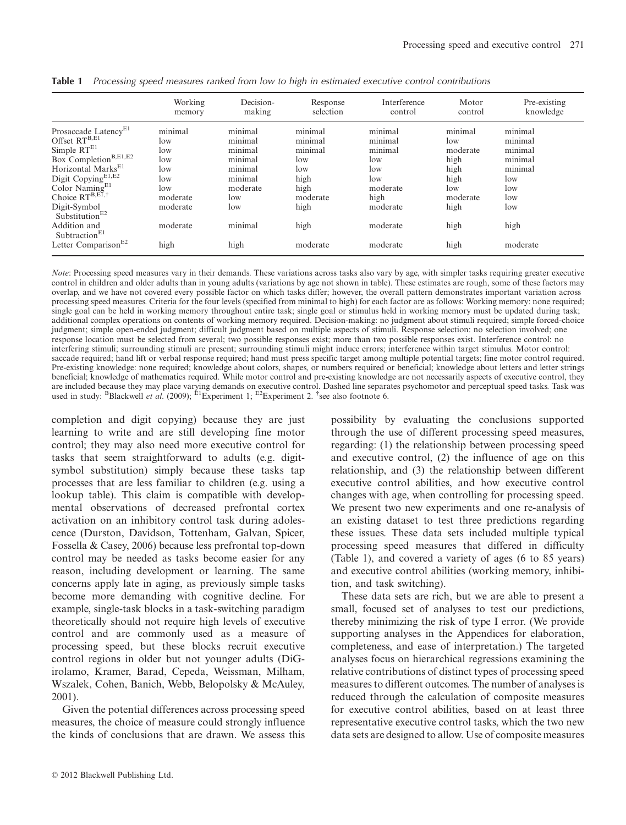|                                                                                                                                                                                                                                                                                              | Working<br>memory                                                         | Decision-<br>making                                                                      | Response<br>selection                                                           | Interference<br>control                                                            | Motor<br>control                                                              | Pre-existing<br>knowledge                                                       |
|----------------------------------------------------------------------------------------------------------------------------------------------------------------------------------------------------------------------------------------------------------------------------------------------|---------------------------------------------------------------------------|------------------------------------------------------------------------------------------|---------------------------------------------------------------------------------|------------------------------------------------------------------------------------|-------------------------------------------------------------------------------|---------------------------------------------------------------------------------|
| Prosaccade Latency <sup>E1</sup><br>Offset $RT^{B, E1}$<br>Simple $RT^{E1}$<br>Box Completion <sup>B,E1,E2</sup><br>Horizontal Marks <sup>E1</sup><br>Digit CopyingE1,E2<br>Color Naming <sup>E1</sup><br>Choice $RT^{B, E\tilde{I}, \dagger}$<br>Digit-Symbol<br>Substitution <sup>E2</sup> | minimal<br>low<br>low<br>low<br>low<br>low<br>low<br>moderate<br>moderate | minimal<br>minimal<br>minimal<br>minimal<br>minimal<br>minimal<br>moderate<br>low<br>low | minimal<br>minimal<br>minimal<br>low<br>low<br>high<br>high<br>moderate<br>high | minimal<br>minimal<br>minimal<br>low<br>low<br>low<br>moderate<br>high<br>moderate | minimal<br>low<br>moderate<br>high<br>high<br>high<br>low<br>moderate<br>high | minimal<br>minimal<br>minimal<br>minimal<br>minimal<br>low<br>low<br>low<br>low |
| Addition and<br>Subtraction <sup>E1</sup>                                                                                                                                                                                                                                                    | moderate                                                                  | minimal                                                                                  | high                                                                            | moderate                                                                           | high                                                                          | high                                                                            |
| Letter Comparison <sup>E2</sup>                                                                                                                                                                                                                                                              | high                                                                      | high                                                                                     | moderate                                                                        | moderate                                                                           | high                                                                          | moderate                                                                        |

Note: Processing speed measures vary in their demands. These variations across tasks also vary by age, with simpler tasks requiring greater executive control in children and older adults than in young adults (variations by age not shown in table). These estimates are rough, some of these factors may overlap, and we have not covered every possible factor on which tasks differ; however, the overall pattern demonstrates important variation across processing speed measures. Criteria for the four levels (specified from minimal to high) for each factor are as follows: Working memory: none required; single goal can be held in working memory throughout entire task; single goal or stimulus held in working memory must be updated during task; additional complex operations on contents of working memory required. Decision-making: no judgment about stimuli required; simple forced-choice judgment; simple open-ended judgment; difficult judgment based on multiple aspects of stimuli. Response selection: no selection involved; one response location must be selected from several; two possible responses exist; more than two possible responses exist. Interference control: no interfering stimuli; surrounding stimuli are present; surrounding stimuli might induce errors; interference within target stimulus. Motor control: saccade required; hand lift or verbal response required; hand must press specific target among multiple potential targets; fine motor control required. Pre-existing knowledge: none required; knowledge about colors, shapes, or numbers required or beneficial; knowledge about letters and letter strings beneficial; knowledge of mathematics required. While motor control and pre-existing knowledge are not necessarily aspects of executive control, they are included because they may place varying demands on executive control. Dashed line separates psychomotor and perceptual speed tasks. Task was<br>used in study: <sup>B</sup>Blackwell *et al.* (2009); <sup>E1</sup>Experiment 1; <sup>E2</sup>Experiment

completion and digit copying) because they are just learning to write and are still developing fine motor control; they may also need more executive control for tasks that seem straightforward to adults (e.g. digitsymbol substitution) simply because these tasks tap processes that are less familiar to children (e.g. using a lookup table). This claim is compatible with developmental observations of decreased prefrontal cortex activation on an inhibitory control task during adolescence (Durston, Davidson, Tottenham, Galvan, Spicer, Fossella & Casey, 2006) because less prefrontal top-down control may be needed as tasks become easier for any reason, including development or learning. The same concerns apply late in aging, as previously simple tasks become more demanding with cognitive decline. For example, single-task blocks in a task-switching paradigm theoretically should not require high levels of executive control and are commonly used as a measure of processing speed, but these blocks recruit executive control regions in older but not younger adults (DiGirolamo, Kramer, Barad, Cepeda, Weissman, Milham, Wszalek, Cohen, Banich, Webb, Belopolsky & McAuley, 2001).

Given the potential differences across processing speed measures, the choice of measure could strongly influence the kinds of conclusions that are drawn. We assess this possibility by evaluating the conclusions supported through the use of different processing speed measures, regarding: (1) the relationship between processing speed and executive control, (2) the influence of age on this relationship, and (3) the relationship between different executive control abilities, and how executive control changes with age, when controlling for processing speed. We present two new experiments and one re-analysis of an existing dataset to test three predictions regarding these issues. These data sets included multiple typical processing speed measures that differed in difficulty (Table 1), and covered a variety of ages (6 to 85 years) and executive control abilities (working memory, inhibition, and task switching).

These data sets are rich, but we are able to present a small, focused set of analyses to test our predictions, thereby minimizing the risk of type I error. (We provide supporting analyses in the Appendices for elaboration, completeness, and ease of interpretation.) The targeted analyses focus on hierarchical regressions examining the relative contributions of distinct types of processing speed measures to different outcomes. The number of analyses is reduced through the calculation of composite measures for executive control abilities, based on at least three representative executive control tasks, which the two new data sets are designed to allow. Use of composite measures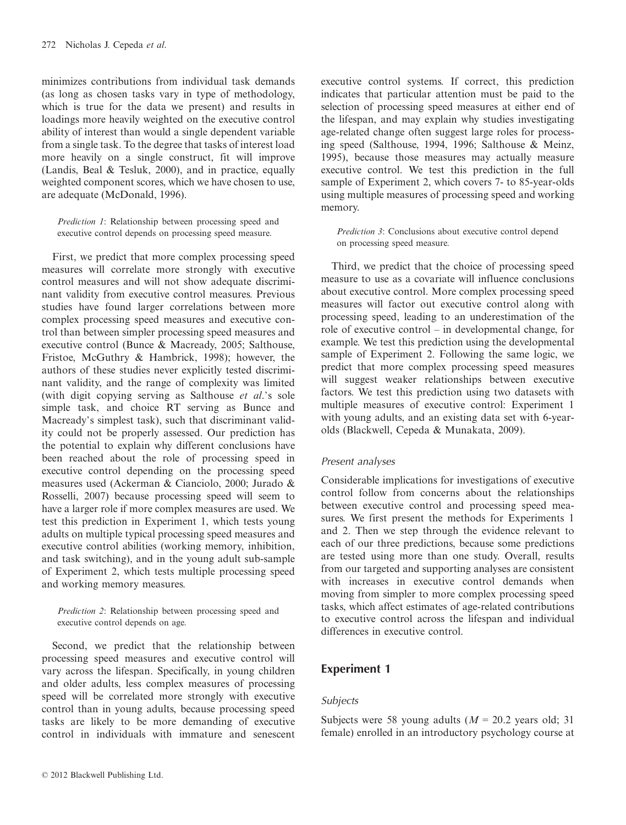minimizes contributions from individual task demands (as long as chosen tasks vary in type of methodology, which is true for the data we present) and results in loadings more heavily weighted on the executive control ability of interest than would a single dependent variable from a single task. To the degree that tasks of interest load more heavily on a single construct, fit will improve (Landis, Beal & Tesluk, 2000), and in practice, equally weighted component scores, which we have chosen to use, are adequate (McDonald, 1996).

Prediction 1: Relationship between processing speed and executive control depends on processing speed measure.

First, we predict that more complex processing speed measures will correlate more strongly with executive control measures and will not show adequate discriminant validity from executive control measures. Previous studies have found larger correlations between more complex processing speed measures and executive control than between simpler processing speed measures and executive control (Bunce & Macready, 2005; Salthouse, Fristoe, McGuthry & Hambrick, 1998); however, the authors of these studies never explicitly tested discriminant validity, and the range of complexity was limited (with digit copying serving as Salthouse et al.'s sole simple task, and choice RT serving as Bunce and Macready's simplest task), such that discriminant validity could not be properly assessed. Our prediction has the potential to explain why different conclusions have been reached about the role of processing speed in executive control depending on the processing speed measures used (Ackerman & Cianciolo, 2000; Jurado & Rosselli, 2007) because processing speed will seem to have a larger role if more complex measures are used. We test this prediction in Experiment 1, which tests young adults on multiple typical processing speed measures and executive control abilities (working memory, inhibition, and task switching), and in the young adult sub-sample of Experiment 2, which tests multiple processing speed and working memory measures.

Prediction 2: Relationship between processing speed and executive control depends on age.

Second, we predict that the relationship between processing speed measures and executive control will vary across the lifespan. Specifically, in young children and older adults, less complex measures of processing speed will be correlated more strongly with executive control than in young adults, because processing speed tasks are likely to be more demanding of executive control in individuals with immature and senescent

executive control systems. If correct, this prediction indicates that particular attention must be paid to the selection of processing speed measures at either end of the lifespan, and may explain why studies investigating age-related change often suggest large roles for processing speed (Salthouse, 1994, 1996; Salthouse & Meinz, 1995), because those measures may actually measure executive control. We test this prediction in the full sample of Experiment 2, which covers 7- to 85-year-olds using multiple measures of processing speed and working memory.

Prediction 3: Conclusions about executive control depend on processing speed measure.

Third, we predict that the choice of processing speed measure to use as a covariate will influence conclusions about executive control. More complex processing speed measures will factor out executive control along with processing speed, leading to an underestimation of the role of executive control – in developmental change, for example. We test this prediction using the developmental sample of Experiment 2. Following the same logic, we predict that more complex processing speed measures will suggest weaker relationships between executive factors. We test this prediction using two datasets with multiple measures of executive control: Experiment 1 with young adults, and an existing data set with 6-yearolds (Blackwell, Cepeda & Munakata, 2009).

## Present analyses

Considerable implications for investigations of executive control follow from concerns about the relationships between executive control and processing speed measures. We first present the methods for Experiments 1 and 2. Then we step through the evidence relevant to each of our three predictions, because some predictions are tested using more than one study. Overall, results from our targeted and supporting analyses are consistent with increases in executive control demands when moving from simpler to more complex processing speed tasks, which affect estimates of age-related contributions to executive control across the lifespan and individual differences in executive control.

# Experiment 1

## Subjects

Subjects were 58 young adults  $(M = 20.2$  years old; 31 female) enrolled in an introductory psychology course at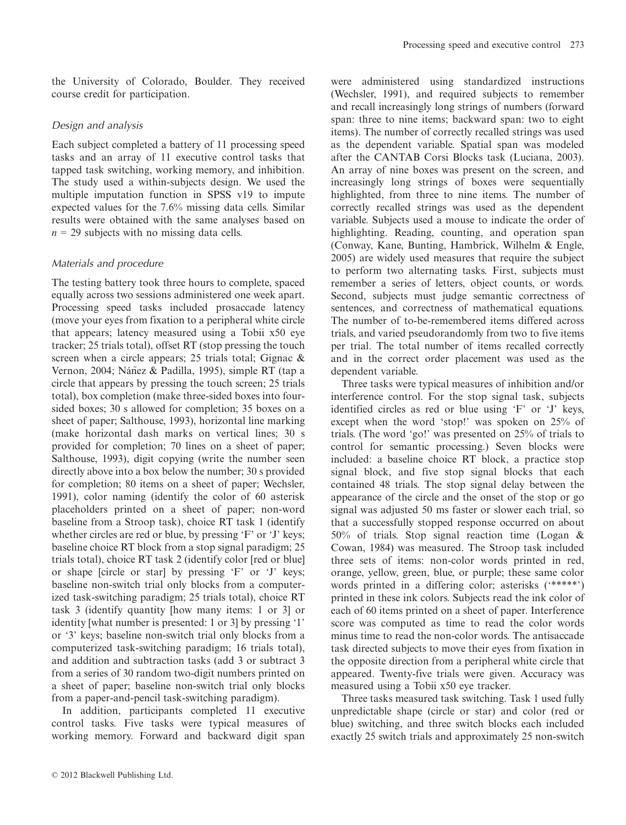the University of Colorado, Boulder. They received course credit for participation.

#### Design and analysis

Each subject completed a battery of 11 processing speed tasks and an array of 11 executive control tasks that tapped task switching, working memory, and inhibition. The study used a within-subjects design. We used the multiple imputation function in SPSS v19 to impute expected values for the 7.6% missing data cells. Similar results were obtained with the same analyses based on  $n = 29$  subjects with no missing data cells.

#### Materials and procedure

The testing battery took three hours to complete, spaced equally across two sessions administered one week apart. Processing speed tasks included prosaccade latency (move your eyes from fixation to a peripheral white circle that appears; latency measured using a Tobii x50 eye tracker; 25 trials total), offset RT (stop pressing the touch screen when a circle appears; 25 trials total; Gignac & Vernon, 2004; Nánez & Padilla, 1995), simple RT (tap a ~ circle that appears by pressing the touch screen; 25 trials total), box completion (make three-sided boxes into foursided boxes; 30 s allowed for completion; 35 boxes on a sheet of paper; Salthouse, 1993), horizontal line marking (make horizontal dash marks on vertical lines; 30 s provided for completion; 70 lines on a sheet of paper; Salthouse, 1993), digit copying (write the number seen directly above into a box below the number; 30 s provided for completion; 80 items on a sheet of paper; Wechsler, 1991), color naming (identify the color of 60 asterisk placeholders printed on a sheet of paper; non-word baseline from a Stroop task), choice RT task 1 (identify whether circles are red or blue, by pressing 'F' or 'J' keys; baseline choice RT block from a stop signal paradigm; 25 trials total), choice RT task 2 (identify color [red or blue] or shape [circle or star] by pressing 'F' or 'J' keys; baseline non-switch trial only blocks from a computerized task-switching paradigm; 25 trials total), choice RT task 3 (identify quantity [how many items: 1 or 3] or identity [what number is presented: 1 or 3] by pressing '1' or '3' keys; baseline non-switch trial only blocks from a computerized task-switching paradigm; 16 trials total), and addition and subtraction tasks (add 3 or subtract 3 from a series of 30 random two-digit numbers printed on a sheet of paper; baseline non-switch trial only blocks from a paper-and-pencil task-switching paradigm).

In addition, participants completed 11 executive control tasks. Five tasks were typical measures of working memory. Forward and backward digit span were administered using standardized instructions (Wechsler, 1991), and required subjects to remember and recall increasingly long strings of numbers (forward span: three to nine items; backward span: two to eight items). The number of correctly recalled strings was used as the dependent variable. Spatial span was modeled after the CANTAB Corsi Blocks task (Luciana, 2003). An array of nine boxes was present on the screen, and increasingly long strings of boxes were sequentially highlighted, from three to nine items. The number of correctly recalled strings was used as the dependent variable. Subjects used a mouse to indicate the order of highlighting. Reading, counting, and operation span (Conway, Kane, Bunting, Hambrick, Wilhelm & Engle, 2005) are widely used measures that require the subject to perform two alternating tasks. First, subjects must remember a series of letters, object counts, or words. Second, subjects must judge semantic correctness of sentences, and correctness of mathematical equations. The number of to-be-remembered items differed across trials, and varied pseudorandomly from two to five items per trial. The total number of items recalled correctly and in the correct order placement was used as the dependent variable.

Three tasks were typical measures of inhibition and/or interference control. For the stop signal task, subjects identified circles as red or blue using 'F' or 'J' keys, except when the word 'stop!' was spoken on 25% of trials. (The word 'go!' was presented on 25% of trials to control for semantic processing.) Seven blocks were included: a baseline choice RT block, a practice stop signal block, and five stop signal blocks that each contained 48 trials. The stop signal delay between the appearance of the circle and the onset of the stop or go signal was adjusted 50 ms faster or slower each trial, so that a successfully stopped response occurred on about 50% of trials. Stop signal reaction time (Logan & Cowan, 1984) was measured. The Stroop task included three sets of items: non-color words printed in red, orange, yellow, green, blue, or purple; these same color words printed in a differing color; asterisks ('\*\*\*\*\*') printed in these ink colors. Subjects read the ink color of each of 60 items printed on a sheet of paper. Interference score was computed as time to read the color words minus time to read the non-color words. The antisaccade task directed subjects to move their eyes from fixation in the opposite direction from a peripheral white circle that appeared. Twenty-five trials were given. Accuracy was measured using a Tobii x50 eye tracker.

Three tasks measured task switching. Task 1 used fully unpredictable shape (circle or star) and color (red or blue) switching, and three switch blocks each included exactly 25 switch trials and approximately 25 non-switch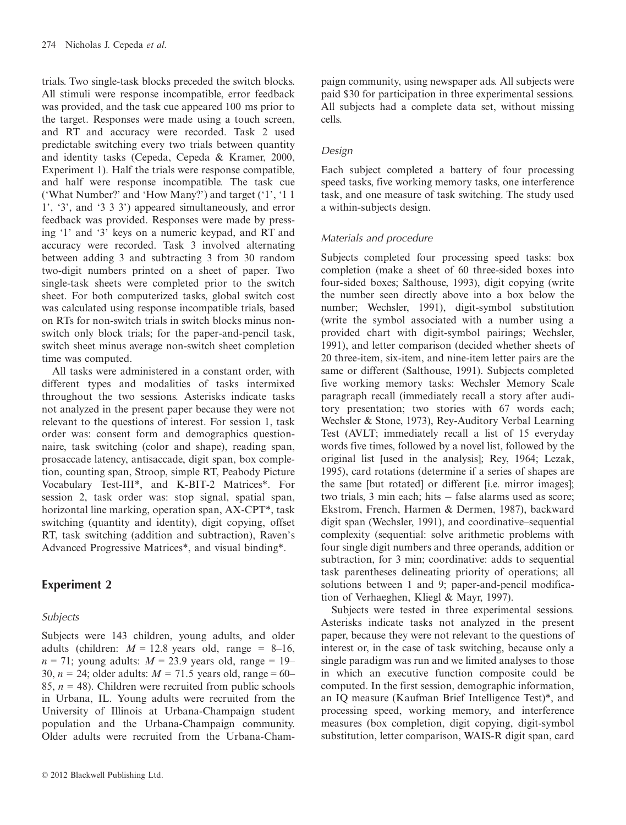trials. Two single-task blocks preceded the switch blocks. All stimuli were response incompatible, error feedback was provided, and the task cue appeared 100 ms prior to the target. Responses were made using a touch screen, and RT and accuracy were recorded. Task 2 used predictable switching every two trials between quantity and identity tasks (Cepeda, Cepeda & Kramer, 2000, Experiment 1). Half the trials were response compatible, and half were response incompatible. The task cue ('What Number?' and 'How Many?') and target ('1', '1 1 1', '3', and '333') appeared simultaneously, and error feedback was provided. Responses were made by pressing '1' and '3' keys on a numeric keypad, and RT and accuracy were recorded. Task 3 involved alternating between adding 3 and subtracting 3 from 30 random two-digit numbers printed on a sheet of paper. Two single-task sheets were completed prior to the switch sheet. For both computerized tasks, global switch cost was calculated using response incompatible trials, based on RTs for non-switch trials in switch blocks minus nonswitch only block trials; for the paper-and-pencil task, switch sheet minus average non-switch sheet completion time was computed.

All tasks were administered in a constant order, with different types and modalities of tasks intermixed throughout the two sessions. Asterisks indicate tasks not analyzed in the present paper because they were not relevant to the questions of interest. For session 1, task order was: consent form and demographics questionnaire, task switching (color and shape), reading span, prosaccade latency, antisaccade, digit span, box completion, counting span, Stroop, simple RT, Peabody Picture Vocabulary Test-III\*, and K-BIT-2 Matrices\*. For session 2, task order was: stop signal, spatial span, horizontal line marking, operation span, AX-CPT\*, task switching (quantity and identity), digit copying, offset RT, task switching (addition and subtraction), Raven's Advanced Progressive Matrices\*, and visual binding\*.

# Experiment 2

## Subjects

Subjects were 143 children, young adults, and older adults (children:  $M = 12.8$  years old, range = 8-16,  $n = 71$ ; young adults:  $M = 23.9$  years old, range = 19– 30,  $n = 24$ ; older adults:  $M = 71.5$  years old, range = 60– 85,  $n = 48$ ). Children were recruited from public schools in Urbana, IL. Young adults were recruited from the University of Illinois at Urbana-Champaign student population and the Urbana-Champaign community. Older adults were recruited from the Urbana-Champaign community, using newspaper ads. All subjects were paid \$30 for participation in three experimental sessions. All subjects had a complete data set, without missing cells.

## Design

Each subject completed a battery of four processing speed tasks, five working memory tasks, one interference task, and one measure of task switching. The study used a within-subjects design.

## Materials and procedure

Subjects completed four processing speed tasks: box completion (make a sheet of 60 three-sided boxes into four-sided boxes; Salthouse, 1993), digit copying (write the number seen directly above into a box below the number; Wechsler, 1991), digit-symbol substitution (write the symbol associated with a number using a provided chart with digit-symbol pairings; Wechsler, 1991), and letter comparison (decided whether sheets of 20 three-item, six-item, and nine-item letter pairs are the same or different (Salthouse, 1991). Subjects completed five working memory tasks: Wechsler Memory Scale paragraph recall (immediately recall a story after auditory presentation; two stories with 67 words each; Wechsler & Stone, 1973), Rey-Auditory Verbal Learning Test (AVLT; immediately recall a list of 15 everyday words five times, followed by a novel list, followed by the original list [used in the analysis]; Rey, 1964; Lezak, 1995), card rotations (determine if a series of shapes are the same [but rotated] or different [i.e. mirror images]; two trials,  $3 \text{ min each}$ ; hits  $-$  false alarms used as score; Ekstrom, French, Harmen & Dermen, 1987), backward digit span (Wechsler, 1991), and coordinative–sequential complexity (sequential: solve arithmetic problems with four single digit numbers and three operands, addition or subtraction, for 3 min; coordinative: adds to sequential task parentheses delineating priority of operations; all solutions between 1 and 9; paper-and-pencil modification of Verhaeghen, Kliegl & Mayr, 1997).

Subjects were tested in three experimental sessions. Asterisks indicate tasks not analyzed in the present paper, because they were not relevant to the questions of interest or, in the case of task switching, because only a single paradigm was run and we limited analyses to those in which an executive function composite could be computed. In the first session, demographic information, an IQ measure (Kaufman Brief Intelligence Test)\*, and processing speed, working memory, and interference measures (box completion, digit copying, digit-symbol substitution, letter comparison, WAIS-R digit span, card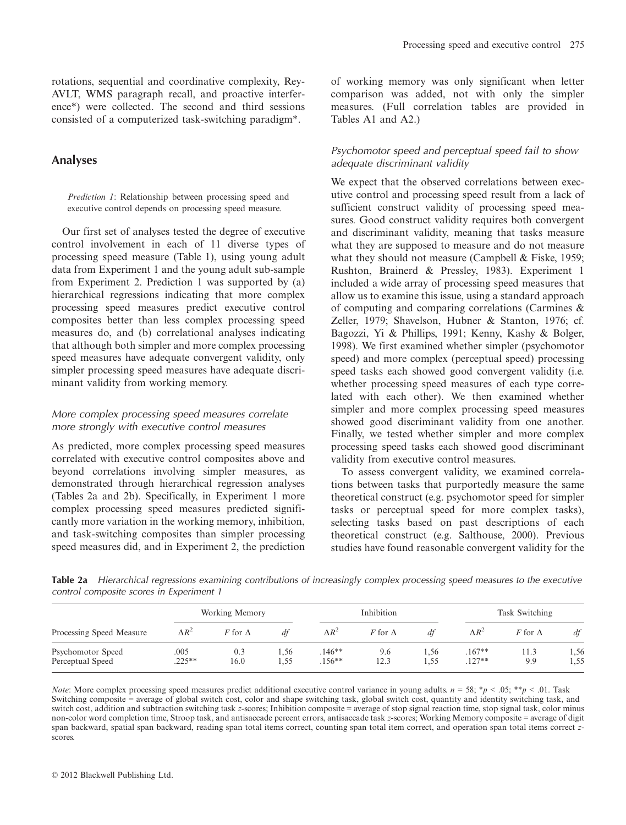AVLT, WMS paragraph recall, and proactive interference\*) were collected. The second and third sessions consisted of a computerized task-switching paradigm\*.

# Analyses

Prediction 1: Relationship between processing speed and executive control depends on processing speed measure.

Our first set of analyses tested the degree of executive control involvement in each of 11 diverse types of processing speed measure (Table 1), using young adult data from Experiment 1 and the young adult sub-sample from Experiment 2. Prediction 1 was supported by (a) hierarchical regressions indicating that more complex processing speed measures predict executive control composites better than less complex processing speed measures do, and (b) correlational analyses indicating that although both simpler and more complex processing speed measures have adequate convergent validity, only simpler processing speed measures have adequate discriminant validity from working memory.

## More complex processing speed measures correlate more strongly with executive control measures

As predicted, more complex processing speed measures correlated with executive control composites above and beyond correlations involving simpler measures, as demonstrated through hierarchical regression analyses (Tables 2a and 2b). Specifically, in Experiment 1 more complex processing speed measures predicted significantly more variation in the working memory, inhibition, and task-switching composites than simpler processing speed measures did, and in Experiment 2, the prediction of working memory was only significant when letter comparison was added, not with only the simpler measures. (Full correlation tables are provided in Tables A1 and A2.)

# Psychomotor speed and perceptual speed fail to show adequate discriminant validity

We expect that the observed correlations between executive control and processing speed result from a lack of sufficient construct validity of processing speed measures. Good construct validity requires both convergent and discriminant validity, meaning that tasks measure what they are supposed to measure and do not measure what they should not measure (Campbell & Fiske, 1959; Rushton, Brainerd & Pressley, 1983). Experiment 1 included a wide array of processing speed measures that allow us to examine this issue, using a standard approach of computing and comparing correlations (Carmines & Zeller, 1979; Shavelson, Hubner & Stanton, 1976; cf. Bagozzi, Yi & Phillips, 1991; Kenny, Kashy & Bolger, 1998). We first examined whether simpler (psychomotor speed) and more complex (perceptual speed) processing speed tasks each showed good convergent validity (i.e. whether processing speed measures of each type correlated with each other). We then examined whether simpler and more complex processing speed measures showed good discriminant validity from one another. Finally, we tested whether simpler and more complex processing speed tasks each showed good discriminant validity from executive control measures.

To assess convergent validity, we examined correlations between tasks that purportedly measure the same theoretical construct (e.g. psychomotor speed for simpler tasks or perceptual speed for more complex tasks), selecting tasks based on past descriptions of each theoretical construct (e.g. Salthouse, 2000). Previous studies have found reasonable convergent validity for the

Table 2a Hierarchical regressions examining contributions of increasingly complex processing speed measures to the executive control composite scores in Experiment 1

|                                       | Working Memory    |                | Inhibition   |                      | Task Switching |              |                      |                |              |
|---------------------------------------|-------------------|----------------|--------------|----------------------|----------------|--------------|----------------------|----------------|--------------|
| Processing Speed Measure              | $\Delta R^2$      | F for $\Delta$ | df           | $\Delta R^2$         | F for $\Delta$ | df           | $\Delta R^2$         | F for $\Delta$ | df           |
| Psychomotor Speed<br>Perceptual Speed | .005<br>$.225***$ | 0.3<br>16.0    | 1,56<br>1,55 | $.146**$<br>$.156**$ | 9.6<br>12.3    | .,56<br>1,55 | $.167**$<br>$.127**$ | 11.3<br>9.9    | 1,56<br>1,55 |

*Note*: More complex processing speed measures predict additional executive control variance in young adults.  $n = 58$ ; \*p < .05; \*\*p < .01. Task Switching composite = average of global switch cost, color and shape switching task, global switch cost, quantity and identity switching task, and switch cost, addition and subtraction switching task z-scores; Inhibition composite = average of stop signal reaction time, stop signal task, color minus non-color word completion time, Stroop task, and antisaccade percent errors, antisaccade task z-scores; Working Memory composite = average of digit span backward, spatial span backward, reading span total items correct, counting span total item correct, and operation span total items correct zscores.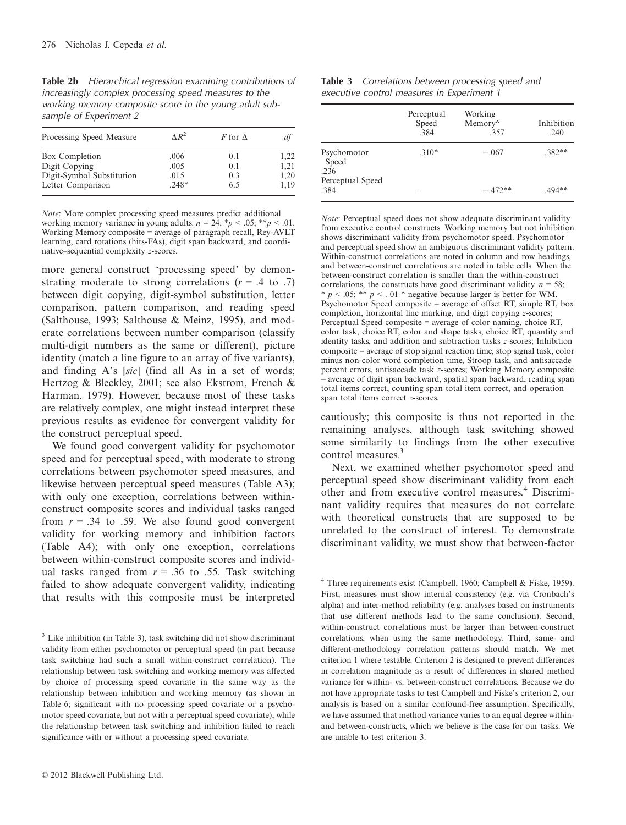Table 2b Hierarchical regression examining contributions of increasingly complex processing speed measures to the working memory composite score in the young adult subsample of Experiment 2

| Processing Speed Measure  | $\Lambda R^2$ | F for $\Lambda$ | d1   |
|---------------------------|---------------|-----------------|------|
| Box Completion            | .006          | 0.1             | 1,22 |
| Digit Copying             | .005          | 0.1             | 1.21 |
| Digit-Symbol Substitution | .015          | 0.3             | 1.20 |
| Letter Comparison         | $.248*$       | 65              | 1.19 |

Note: More complex processing speed measures predict additional working memory variance in young adults.  $n = 24$ ;  $* p < .05$ ;  $* p < .01$ . Working Memory composite = average of paragraph recall, Rey-AVLT learning, card rotations (hits-FAs), digit span backward, and coordinative–sequential complexity z-scores.

more general construct 'processing speed' by demonstrating moderate to strong correlations  $(r = .4$  to .7) between digit copying, digit-symbol substitution, letter comparison, pattern comparison, and reading speed (Salthouse, 1993; Salthouse & Meinz, 1995), and moderate correlations between number comparison (classify multi-digit numbers as the same or different), picture identity (match a line figure to an array of five variants), and finding A's [sic] (find all As in a set of words; Hertzog & Bleckley, 2001; see also Ekstrom, French & Harman, 1979). However, because most of these tasks are relatively complex, one might instead interpret these previous results as evidence for convergent validity for the construct perceptual speed.

We found good convergent validity for psychomotor speed and for perceptual speed, with moderate to strong correlations between psychomotor speed measures, and likewise between perceptual speed measures (Table A3); with only one exception, correlations between withinconstruct composite scores and individual tasks ranged from  $r = .34$  to .59. We also found good convergent validity for working memory and inhibition factors (Table A4); with only one exception, correlations between within-construct composite scores and individual tasks ranged from  $r = .36$  to .55. Task switching failed to show adequate convergent validity, indicating that results with this composite must be interpreted

| Table 3 Correlations between processing speed and |
|---------------------------------------------------|
| executive control measures in Experiment 1        |

|                              | Perceptual<br>Speed<br>.384 | Working<br>Memory <sup>^</sup><br>.357 | Inhibition<br>.240 |
|------------------------------|-----------------------------|----------------------------------------|--------------------|
| Psychomotor<br>Speed<br>.236 | $.310*$                     | $-.067$                                | $.382**$           |
| Perceptual Speed<br>.384     | $\overline{\phantom{a}}$    | $-.472**$                              | .494**             |

Note: Perceptual speed does not show adequate discriminant validity from executive control constructs. Working memory but not inhibition shows discriminant validity from psychomotor speed. Psychomotor and perceptual speed show an ambiguous discriminant validity pattern. Within-construct correlations are noted in column and row headings, and between-construct correlations are noted in table cells. When the between-construct correlation is smaller than the within-construct correlations, the constructs have good discriminant validity.  $n = 58$ ; \*  $p < .05$ ; \*\*  $p < .01$  ^ negative because larger is better for WM. Psychomotor Speed composite = average of offset RT, simple RT, box completion, horizontal line marking, and digit copying z-scores; Perceptual Speed composite = average of color naming, choice RT, color task, choice RT, color and shape tasks, choice RT, quantity and identity tasks, and addition and subtraction tasks z-scores; Inhibition composite = average of stop signal reaction time, stop signal task, color minus non-color word completion time, Stroop task, and antisaccade percent errors, antisaccade task z-scores; Working Memory composite average of digit span backward, spatial span backward, reading span total items correct, counting span total item correct, and operation span total items correct z-scores.

cautiously; this composite is thus not reported in the remaining analyses, although task switching showed some similarity to findings from the other executive control measures.<sup>3</sup>

Next, we examined whether psychomotor speed and perceptual speed show discriminant validity from each other and from executive control measures.<sup>4</sup> Discriminant validity requires that measures do not correlate with theoretical constructs that are supposed to be unrelated to the construct of interest. To demonstrate discriminant validity, we must show that between-factor

<sup>4</sup> Three requirements exist (Campbell, 1960; Campbell & Fiske, 1959). First, measures must show internal consistency (e.g. via Cronbach's alpha) and inter-method reliability (e.g. analyses based on instruments that use different methods lead to the same conclusion). Second, within-construct correlations must be larger than between-construct correlations, when using the same methodology. Third, same- and different-methodology correlation patterns should match. We met criterion 1 where testable. Criterion 2 is designed to prevent differences in correlation magnitude as a result of differences in shared method variance for within- vs. between-construct correlations. Because we do not have appropriate tasks to test Campbell and Fiske's criterion 2, our analysis is based on a similar confound-free assumption. Specifically, we have assumed that method variance varies to an equal degree withinand between-constructs, which we believe is the case for our tasks. We are unable to test criterion 3.

 $3$  Like inhibition (in Table 3), task switching did not show discriminant validity from either psychomotor or perceptual speed (in part because task switching had such a small within-construct correlation). The relationship between task switching and working memory was affected by choice of processing speed covariate in the same way as the relationship between inhibition and working memory (as shown in Table 6; significant with no processing speed covariate or a psychomotor speed covariate, but not with a perceptual speed covariate), while the relationship between task switching and inhibition failed to reach significance with or without a processing speed covariate.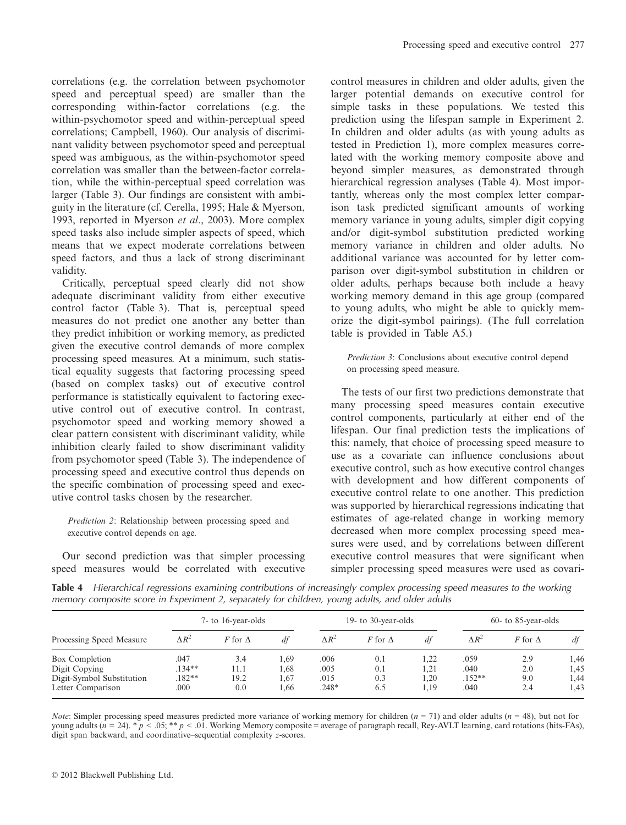correlations (e.g. the correlation between psychomotor speed and perceptual speed) are smaller than the corresponding within-factor correlations (e.g. the within-psychomotor speed and within-perceptual speed correlations; Campbell, 1960). Our analysis of discriminant validity between psychomotor speed and perceptual speed was ambiguous, as the within-psychomotor speed correlation was smaller than the between-factor correlation, while the within-perceptual speed correlation was larger (Table 3). Our findings are consistent with ambiguity in the literature (cf. Cerella, 1995; Hale & Myerson, 1993, reported in Myerson et al., 2003). More complex speed tasks also include simpler aspects of speed, which means that we expect moderate correlations between speed factors, and thus a lack of strong discriminant validity.

Critically, perceptual speed clearly did not show adequate discriminant validity from either executive control factor (Table 3). That is, perceptual speed measures do not predict one another any better than they predict inhibition or working memory, as predicted given the executive control demands of more complex processing speed measures. At a minimum, such statistical equality suggests that factoring processing speed (based on complex tasks) out of executive control performance is statistically equivalent to factoring executive control out of executive control. In contrast, psychomotor speed and working memory showed a clear pattern consistent with discriminant validity, while inhibition clearly failed to show discriminant validity from psychomotor speed (Table 3). The independence of processing speed and executive control thus depends on the specific combination of processing speed and executive control tasks chosen by the researcher.

Prediction 2: Relationship between processing speed and executive control depends on age.

Our second prediction was that simpler processing speed measures would be correlated with executive control measures in children and older adults, given the larger potential demands on executive control for simple tasks in these populations. We tested this prediction using the lifespan sample in Experiment 2. In children and older adults (as with young adults as tested in Prediction 1), more complex measures correlated with the working memory composite above and beyond simpler measures, as demonstrated through hierarchical regression analyses (Table 4). Most importantly, whereas only the most complex letter comparison task predicted significant amounts of working memory variance in young adults, simpler digit copying and/or digit-symbol substitution predicted working memory variance in children and older adults. No additional variance was accounted for by letter comparison over digit-symbol substitution in children or older adults, perhaps because both include a heavy working memory demand in this age group (compared to young adults, who might be able to quickly memorize the digit-symbol pairings). (The full correlation table is provided in Table A5.)

Prediction 3: Conclusions about executive control depend on processing speed measure.

The tests of our first two predictions demonstrate that many processing speed measures contain executive control components, particularly at either end of the lifespan. Our final prediction tests the implications of this: namely, that choice of processing speed measure to use as a covariate can influence conclusions about executive control, such as how executive control changes with development and how different components of executive control relate to one another. This prediction was supported by hierarchical regressions indicating that estimates of age-related change in working memory decreased when more complex processing speed measures were used, and by correlations between different executive control measures that were significant when simpler processing speed measures were used as covari-

Table 4 Hierarchical regressions examining contributions of increasingly complex processing speed measures to the working memory composite score in Experiment 2, separately for children, young adults, and older adults

|                           | 7- to 16-year-olds |                | 19- to 30-year-olds |              |                | 60- to 85-year-olds |              |                   |      |
|---------------------------|--------------------|----------------|---------------------|--------------|----------------|---------------------|--------------|-------------------|------|
| Processing Speed Measure  | $\Delta R^2$       | F for $\Delta$ | df                  | $\Delta R^2$ | F for $\Delta$ | df                  | $\Delta R^2$ | $F$ for $\Lambda$ | df   |
| Box Completion            | .047               | 3.4            | 1.69                | .006         | 0.1            | 1.22                | .059         | 2.9               | 1,46 |
| Digit Copying             | $.134**$           | 11.1           | 1.68                | .005         | 0.1            | 1,21                | .040         | 2.0               | 1,45 |
| Digit-Symbol Substitution | $.182**$           | 19.2           | 1.67                | .015         | 0.3            | 1.20                | $.152**$     | 9.0               | 1.44 |
| Letter Comparison         | .000               | 0.0            | 1.66                | $.248*$      | 6.5            | 1.19                | .040         | 2.4               | 1,43 |

*Note:* Simpler processing speed measures predicted more variance of working memory for children  $(n = 71)$  and older adults  $(n = 48)$ , but not for young adults ( $n = 24$ ). \*  $p < .05$ ; \*\*  $p < .01$ . Working Memory composite = average of paragraph recall, Rey-AVLT learning, card rotations (hits-FAs), digit span backward, and coordinative–sequential complexity z-scores.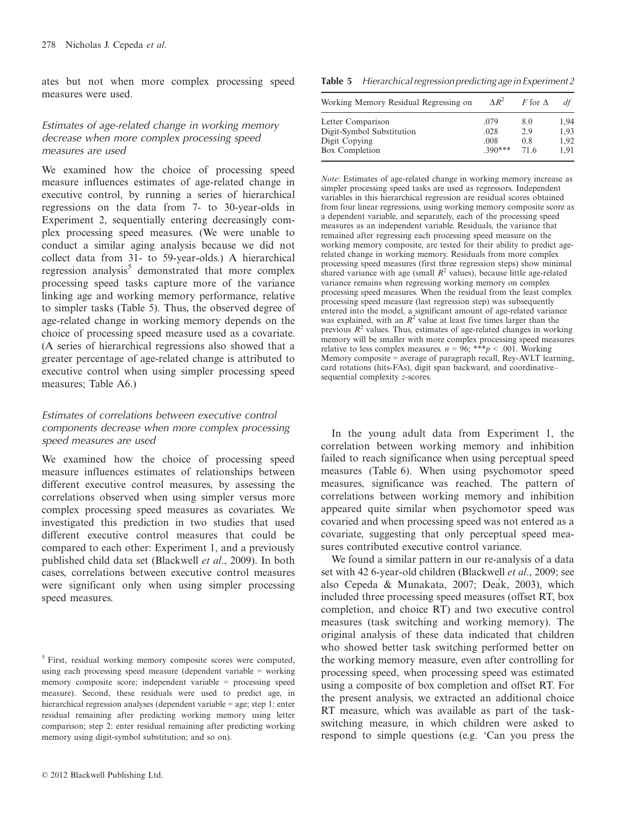ates but not when more complex processing speed measures were used.

## Estimates of age-related change in working memory decrease when more complex processing speed measures are used

We examined how the choice of processing speed measure influences estimates of age-related change in executive control, by running a series of hierarchical regressions on the data from 7- to 30-year-olds in Experiment 2, sequentially entering decreasingly complex processing speed measures. (We were unable to conduct a similar aging analysis because we did not collect data from 31- to 59-year-olds.) A hierarchical regression analysis<sup>5</sup> demonstrated that more complex processing speed tasks capture more of the variance linking age and working memory performance, relative to simpler tasks (Table 5). Thus, the observed degree of age-related change in working memory depends on the choice of processing speed measure used as a covariate. (A series of hierarchical regressions also showed that a greater percentage of age-related change is attributed to executive control when using simpler processing speed measures; Table A6.)

## Estimates of correlations between executive control components decrease when more complex processing speed measures are used

We examined how the choice of processing speed measure influences estimates of relationships between different executive control measures, by assessing the correlations observed when using simpler versus more complex processing speed measures as covariates. We investigated this prediction in two studies that used different executive control measures that could be compared to each other: Experiment 1, and a previously published child data set (Blackwell et al., 2009). In both cases, correlations between executive control measures were significant only when using simpler processing speed measures.

Table 5 Hierarchical regression predicting age in Experiment 2

| Working Memory Residual Regressing on | $\Lambda R^2$ | F for $\Delta$ | df   |
|---------------------------------------|---------------|----------------|------|
| Letter Comparison                     | .079          | 8.0            | 1.94 |
| Digit-Symbol Substitution             | .028          | 2.9            | 1.93 |
| Digit Copying                         | .008          | 0.8            | 1.92 |
| Box Completion                        | $390***$      | 71.6           | 1.91 |

Note: Estimates of age-related change in working memory increase as simpler processing speed tasks are used as regressors. Independent variables in this hierarchical regression are residual scores obtained from four linear regressions, using working memory composite score as a dependent variable, and separately, each of the processing speed measures as an independent variable. Residuals, the variance that remained after regressing each processing speed measure on the working memory composite, are tested for their ability to predict agerelated change in working memory. Residuals from more complex processing speed measures (first three regression steps) show minimal shared variance with age (small  $R^2$  values), because little age-related variance remains when regressing working memory on complex processing speed measures. When the residual from the least complex processing speed measure (last regression step) was subsequently entered into the model, a significant amount of age-related variance was explained, with an  $R^2$  value at least five times larger than the previous  $R^2$  values. Thus, estimates of age-related changes in working memory will be smaller with more complex processing speed measures relative to less complex measures.  $n = 96$ ; \*\*\* $p < .001$ . Working Memory composite = average of paragraph recall, Rey-AVLT learning, card rotations (hits-FAs), digit span backward, and coordinative– sequential complexity z-scores.

In the young adult data from Experiment 1, the correlation between working memory and inhibition failed to reach significance when using perceptual speed measures (Table 6). When using psychomotor speed measures, significance was reached. The pattern of correlations between working memory and inhibition appeared quite similar when psychomotor speed was covaried and when processing speed was not entered as a covariate, suggesting that only perceptual speed measures contributed executive control variance.

We found a similar pattern in our re-analysis of a data set with 42 6-year-old children (Blackwell *et al.*, 2009; see also Cepeda & Munakata, 2007; Deák, 2003), which included three processing speed measures (offset RT, box completion, and choice RT) and two executive control measures (task switching and working memory). The original analysis of these data indicated that children who showed better task switching performed better on the working memory measure, even after controlling for processing speed, when processing speed was estimated using a composite of box completion and offset RT. For the present analysis, we extracted an additional choice RT measure, which was available as part of the taskswitching measure, in which children were asked to respond to simple questions (e.g. 'Can you press the

<sup>&</sup>lt;sup>5</sup> First, residual working memory composite scores were computed, using each processing speed measure (dependent variable = working memory composite score; independent variable = processing speed measure). Second, these residuals were used to predict age, in hierarchical regression analyses (dependent variable = age; step 1: enter residual remaining after predicting working memory using letter comparison; step 2: enter residual remaining after predicting working memory using digit-symbol substitution; and so on).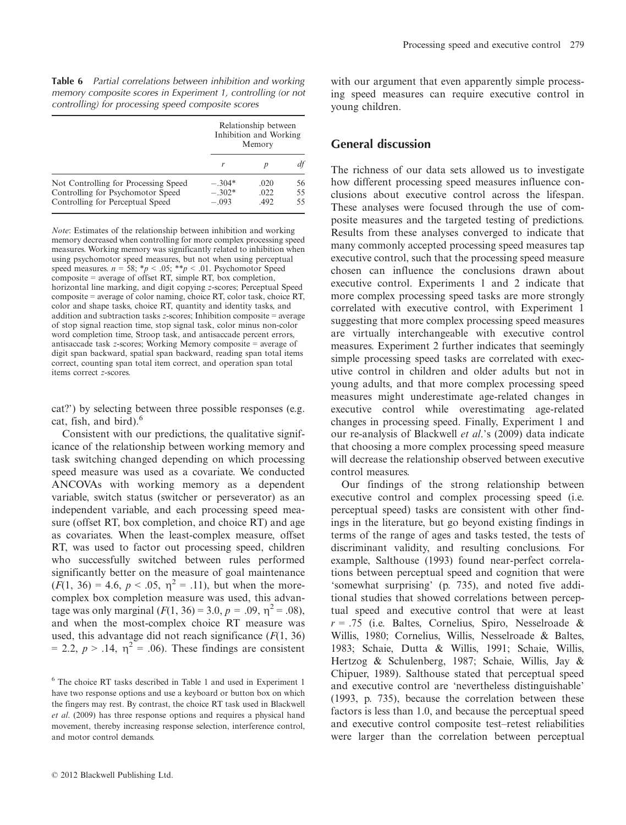Table 6 Partial correlations between inhibition and working memory composite scores in Experiment 1, controlling (or not controlling) for processing speed composite scores

|                                                                                                               | Relationship between<br>Inhibition and Working<br>Memory |                      |                |  |
|---------------------------------------------------------------------------------------------------------------|----------------------------------------------------------|----------------------|----------------|--|
|                                                                                                               | r                                                        |                      |                |  |
| Not Controlling for Processing Speed<br>Controlling for Psychomotor Speed<br>Controlling for Perceptual Speed | $-.304*$<br>$-.302*$<br>$-.093$                          | .020<br>.022<br>.492 | 56<br>55<br>55 |  |

Note: Estimates of the relationship between inhibition and working memory decreased when controlling for more complex processing speed measures. Working memory was significantly related to inhibition when using psychomotor speed measures, but not when using perceptual speed measures.  $n = 58$ ; \*p < .05; \*\*p < .01. Psychomotor Speed composite = average of offset RT, simple RT, box completion, horizontal line marking, and digit copying z-scores; Perceptual Speed composite = average of color naming, choice RT, color task, choice RT, color and shape tasks, choice RT, quantity and identity tasks, and addition and subtraction tasks z-scores; Inhibition composite = average of stop signal reaction time, stop signal task, color minus non-color word completion time, Stroop task, and antisaccade percent errors, antisaccade task z-scores; Working Memory composite = average of digit span backward, spatial span backward, reading span total items correct, counting span total item correct, and operation span total items correct z-scores.

cat?') by selecting between three possible responses (e.g. cat, fish, and bird). $<sup>6</sup>$ </sup>

Consistent with our predictions, the qualitative significance of the relationship between working memory and task switching changed depending on which processing speed measure was used as a covariate. We conducted ANCOVAs with working memory as a dependent variable, switch status (switcher or perseverator) as an independent variable, and each processing speed measure (offset RT, box completion, and choice RT) and age as covariates. When the least-complex measure, offset RT, was used to factor out processing speed, children who successfully switched between rules performed significantly better on the measure of goal maintenance  $(F(1, 36) = 4.6, p < .05, \eta^2 = .11)$ , but when the morecomplex box completion measure was used, this advantage was only marginal  $(F(1, 36) = 3.0, p = .09, \eta^2 = .08)$ , and when the most-complex choice RT measure was used, this advantage did not reach significance  $(F(1, 36))$ = 2.2,  $p > .14$ ,  $\eta^2 = .06$ ). These findings are consistent with our argument that even apparently simple processing speed measures can require executive control in young children.

## General discussion

The richness of our data sets allowed us to investigate how different processing speed measures influence conclusions about executive control across the lifespan. These analyses were focused through the use of composite measures and the targeted testing of predictions. Results from these analyses converged to indicate that many commonly accepted processing speed measures tap executive control, such that the processing speed measure chosen can influence the conclusions drawn about executive control. Experiments 1 and 2 indicate that more complex processing speed tasks are more strongly correlated with executive control, with Experiment 1 suggesting that more complex processing speed measures are virtually interchangeable with executive control measures. Experiment 2 further indicates that seemingly simple processing speed tasks are correlated with executive control in children and older adults but not in young adults, and that more complex processing speed measures might underestimate age-related changes in executive control while overestimating age-related changes in processing speed. Finally, Experiment 1 and our re-analysis of Blackwell et al.'s (2009) data indicate that choosing a more complex processing speed measure will decrease the relationship observed between executive control measures.

Our findings of the strong relationship between executive control and complex processing speed (i.e. perceptual speed) tasks are consistent with other findings in the literature, but go beyond existing findings in terms of the range of ages and tasks tested, the tests of discriminant validity, and resulting conclusions. For example, Salthouse (1993) found near-perfect correlations between perceptual speed and cognition that were 'somewhat surprising' (p. 735), and noted five additional studies that showed correlations between perceptual speed and executive control that were at least  $r = .75$  (i.e. Baltes, Cornelius, Spiro, Nesselroade & Willis, 1980; Cornelius, Willis, Nesselroade & Baltes, 1983; Schaie, Dutta & Willis, 1991; Schaie, Willis, Hertzog & Schulenberg, 1987; Schaie, Willis, Jay & Chipuer, 1989). Salthouse stated that perceptual speed and executive control are 'nevertheless distinguishable' (1993, p. 735), because the correlation between these factors is less than 1.0, and because the perceptual speed and executive control composite test–retest reliabilities were larger than the correlation between perceptual

<sup>6</sup> The choice RT tasks described in Table 1 and used in Experiment 1 have two response options and use a keyboard or button box on which the fingers may rest. By contrast, the choice RT task used in Blackwell et al. (2009) has three response options and requires a physical hand movement, thereby increasing response selection, interference control, and motor control demands.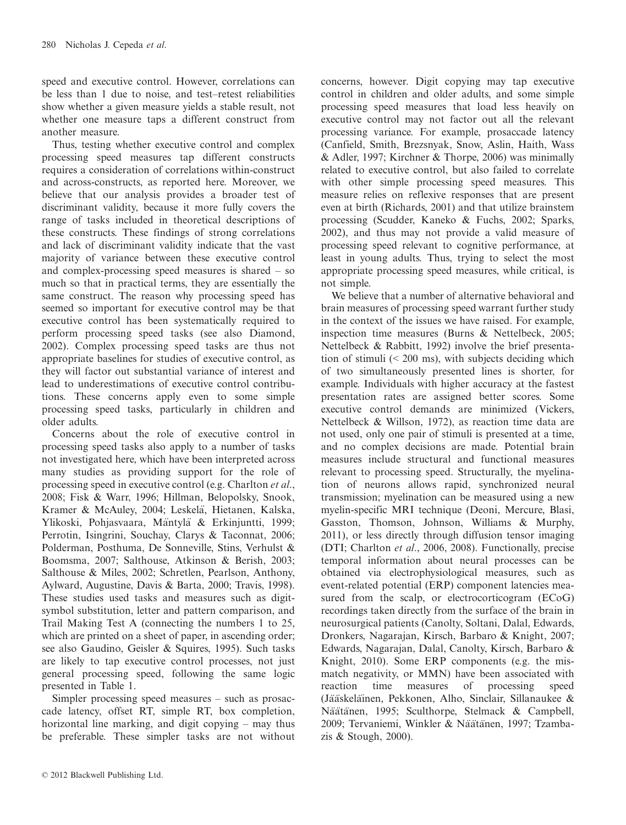speed and executive control. However, correlations can be less than 1 due to noise, and test–retest reliabilities show whether a given measure yields a stable result, not whether one measure taps a different construct from another measure.

Thus, testing whether executive control and complex processing speed measures tap different constructs requires a consideration of correlations within-construct and across-constructs, as reported here. Moreover, we believe that our analysis provides a broader test of discriminant validity, because it more fully covers the range of tasks included in theoretical descriptions of these constructs. These findings of strong correlations and lack of discriminant validity indicate that the vast majority of variance between these executive control and complex-processing speed measures is shared – so much so that in practical terms, they are essentially the same construct. The reason why processing speed has seemed so important for executive control may be that executive control has been systematically required to perform processing speed tasks (see also Diamond, 2002). Complex processing speed tasks are thus not appropriate baselines for studies of executive control, as they will factor out substantial variance of interest and lead to underestimations of executive control contributions. These concerns apply even to some simple processing speed tasks, particularly in children and older adults.

Concerns about the role of executive control in processing speed tasks also apply to a number of tasks not investigated here, which have been interpreted across many studies as providing support for the role of processing speed in executive control (e.g. Charlton et al., 2008; Fisk & Warr, 1996; Hillman, Belopolsky, Snook, Kramer & McAuley, 2004; Leskelä, Hietanen, Kalska, Ylikoski, Pohjasvaara, Mäntylä & Erkinjuntti, 1999; Perrotin, Isingrini, Souchay, Clarys & Taconnat, 2006; Polderman, Posthuma, De Sonneville, Stins, Verhulst & Boomsma, 2007; Salthouse, Atkinson & Berish, 2003; Salthouse & Miles, 2002; Schretlen, Pearlson, Anthony, Aylward, Augustine, Davis & Barta, 2000; Travis, 1998). These studies used tasks and measures such as digitsymbol substitution, letter and pattern comparison, and Trail Making Test A (connecting the numbers 1 to 25, which are printed on a sheet of paper, in ascending order; see also Gaudino, Geisler & Squires, 1995). Such tasks are likely to tap executive control processes, not just general processing speed, following the same logic presented in Table 1.

Simpler processing speed measures – such as prosaccade latency, offset RT, simple RT, box completion, horizontal line marking, and digit copying – may thus be preferable. These simpler tasks are not without concerns, however. Digit copying may tap executive control in children and older adults, and some simple processing speed measures that load less heavily on executive control may not factor out all the relevant processing variance. For example, prosaccade latency (Canfield, Smith, Brezsnyak, Snow, Aslin, Haith, Wass & Adler, 1997; Kirchner & Thorpe, 2006) was minimally related to executive control, but also failed to correlate with other simple processing speed measures. This measure relies on reflexive responses that are present even at birth (Richards, 2001) and that utilize brainstem processing (Scudder, Kaneko & Fuchs, 2002; Sparks, 2002), and thus may not provide a valid measure of processing speed relevant to cognitive performance, at least in young adults. Thus, trying to select the most appropriate processing speed measures, while critical, is not simple.

We believe that a number of alternative behavioral and brain measures of processing speed warrant further study in the context of the issues we have raised. For example, inspection time measures (Burns & Nettelbeck, 2005; Nettelbeck & Rabbitt, 1992) involve the brief presentation of stimuli (< 200 ms), with subjects deciding which of two simultaneously presented lines is shorter, for example. Individuals with higher accuracy at the fastest presentation rates are assigned better scores. Some executive control demands are minimized (Vickers, Nettelbeck & Willson, 1972), as reaction time data are not used, only one pair of stimuli is presented at a time, and no complex decisions are made. Potential brain measures include structural and functional measures relevant to processing speed. Structurally, the myelination of neurons allows rapid, synchronized neural transmission; myelination can be measured using a new myelin-specific MRI technique (Deoni, Mercure, Blasi, Gasston, Thomson, Johnson, Williams & Murphy, 2011), or less directly through diffusion tensor imaging (DTI; Charlton et al., 2006, 2008). Functionally, precise temporal information about neural processes can be obtained via electrophysiological measures, such as event-related potential (ERP) component latencies measured from the scalp, or electrocorticogram (ECoG) recordings taken directly from the surface of the brain in neurosurgical patients (Canolty, Soltani, Dalal, Edwards, Dronkers, Nagarajan, Kirsch, Barbaro & Knight, 2007; Edwards, Nagarajan, Dalal, Canolty, Kirsch, Barbaro & Knight, 2010). Some ERP components (e.g. the mismatch negativity, or MMN) have been associated with reaction time measures of processing speed (Jääskeläinen, Pekkonen, Alho, Sinclair, Sillanaukee & Näätänen, 1995; Sculthorpe, Stelmack & Campbell, 2009; Tervaniemi, Winkler & Näätänen, 1997; Tzambazis & Stough, 2000).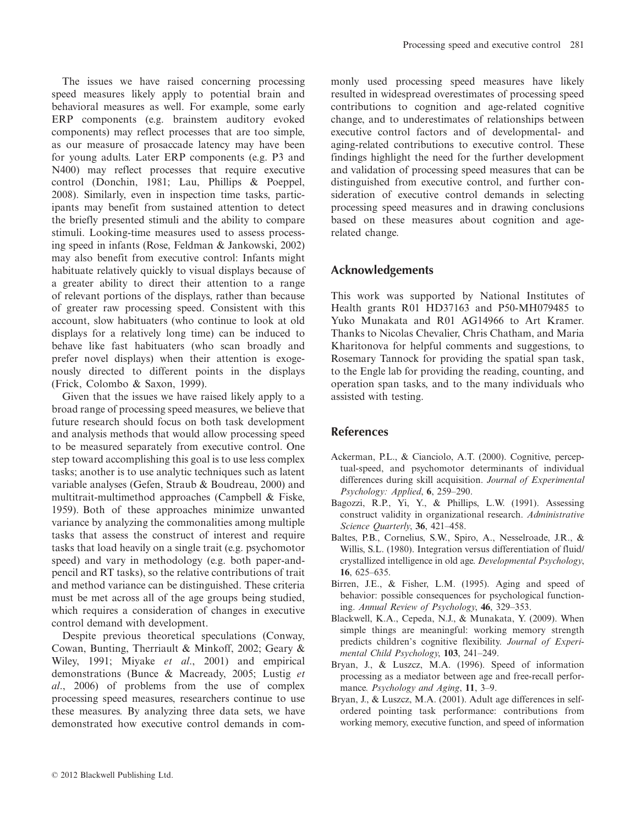The issues we have raised concerning processing speed measures likely apply to potential brain and behavioral measures as well. For example, some early ERP components (e.g. brainstem auditory evoked components) may reflect processes that are too simple, as our measure of prosaccade latency may have been for young adults. Later ERP components (e.g. P3 and N400) may reflect processes that require executive control (Donchin, 1981; Lau, Phillips & Poeppel, 2008). Similarly, even in inspection time tasks, participants may benefit from sustained attention to detect the briefly presented stimuli and the ability to compare stimuli. Looking-time measures used to assess processing speed in infants (Rose, Feldman & Jankowski, 2002) may also benefit from executive control: Infants might habituate relatively quickly to visual displays because of a greater ability to direct their attention to a range of relevant portions of the displays, rather than because of greater raw processing speed. Consistent with this account, slow habituaters (who continue to look at old displays for a relatively long time) can be induced to behave like fast habituaters (who scan broadly and prefer novel displays) when their attention is exogenously directed to different points in the displays (Frick, Colombo & Saxon, 1999).

Given that the issues we have raised likely apply to a broad range of processing speed measures, we believe that future research should focus on both task development and analysis methods that would allow processing speed to be measured separately from executive control. One step toward accomplishing this goal is to use less complex tasks; another is to use analytic techniques such as latent variable analyses (Gefen, Straub & Boudreau, 2000) and multitrait-multimethod approaches (Campbell & Fiske, 1959). Both of these approaches minimize unwanted variance by analyzing the commonalities among multiple tasks that assess the construct of interest and require tasks that load heavily on a single trait (e.g. psychomotor speed) and vary in methodology (e.g. both paper-andpencil and RT tasks), so the relative contributions of trait and method variance can be distinguished. These criteria must be met across all of the age groups being studied, which requires a consideration of changes in executive control demand with development.

Despite previous theoretical speculations (Conway, Cowan, Bunting, Therriault & Minkoff, 2002; Geary & Wiley, 1991; Miyake et al., 2001) and empirical demonstrations (Bunce & Macready, 2005; Lustig et al., 2006) of problems from the use of complex processing speed measures, researchers continue to use these measures. By analyzing three data sets, we have demonstrated how executive control demands in commonly used processing speed measures have likely resulted in widespread overestimates of processing speed contributions to cognition and age-related cognitive change, and to underestimates of relationships between executive control factors and of developmental- and aging-related contributions to executive control. These findings highlight the need for the further development and validation of processing speed measures that can be distinguished from executive control, and further consideration of executive control demands in selecting processing speed measures and in drawing conclusions based on these measures about cognition and agerelated change.

# Acknowledgements

This work was supported by National Institutes of Health grants R01 HD37163 and P50-MH079485 to Yuko Munakata and R01 AG14966 to Art Kramer. Thanks to Nicolas Chevalier, Chris Chatham, and Maria Kharitonova for helpful comments and suggestions, to Rosemary Tannock for providing the spatial span task, to the Engle lab for providing the reading, counting, and operation span tasks, and to the many individuals who assisted with testing.

# References

- Ackerman, P.L., & Cianciolo, A.T. (2000). Cognitive, perceptual-speed, and psychomotor determinants of individual differences during skill acquisition. Journal of Experimental Psychology: Applied, 6, 259–290.
- Bagozzi, R.P., Yi, Y., & Phillips, L.W. (1991). Assessing construct validity in organizational research. Administrative Science Quarterly, 36, 421-458.
- Baltes, P.B., Cornelius, S.W., Spiro, A., Nesselroade, J.R., & Willis, S.L. (1980). Integration versus differentiation of fluid/ crystallized intelligence in old age. Developmental Psychology, 16, 625–635.
- Birren, J.E., & Fisher, L.M. (1995). Aging and speed of behavior: possible consequences for psychological functioning. Annual Review of Psychology, 46, 329–353.
- Blackwell, K.A., Cepeda, N.J., & Munakata, Y. (2009). When simple things are meaningful: working memory strength predicts children's cognitive flexibility. Journal of Experimental Child Psychology, 103, 241-249.
- Bryan, J., & Luszcz, M.A. (1996). Speed of information processing as a mediator between age and free-recall performance. Psychology and Aging, 11, 3–9.
- Bryan, J., & Luszcz, M.A. (2001). Adult age differences in selfordered pointing task performance: contributions from working memory, executive function, and speed of information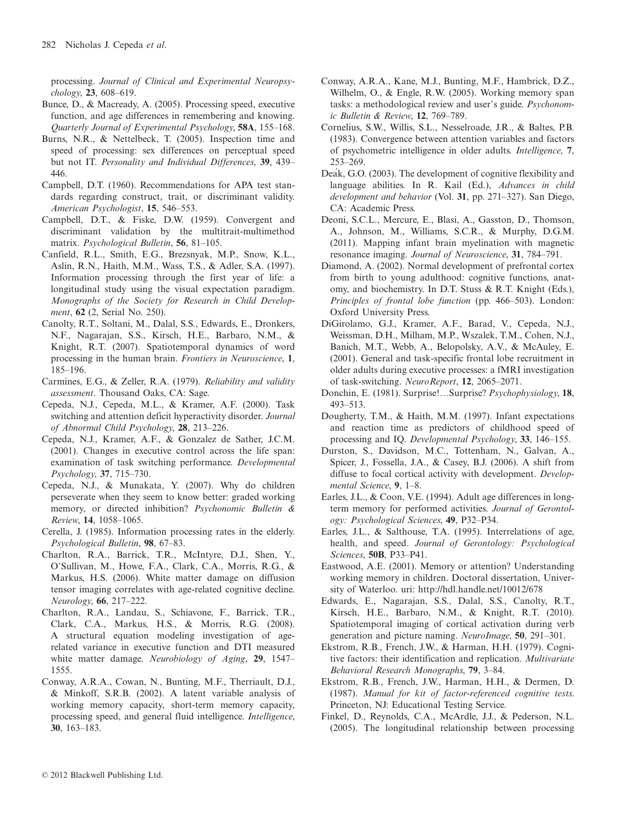processing. Journal of Clinical and Experimental Neuropsychology, 23, 608–619.

- Bunce, D., & Macready, A. (2005). Processing speed, executive function, and age differences in remembering and knowing. Quarterly Journal of Experimental Psychology, 58A, 155–168.
- Burns, N.R., & Nettelbeck, T. (2005). Inspection time and speed of processing: sex differences on perceptual speed but not IT. Personality and Individual Differences, 39, 439– 446.
- Campbell, D.T. (1960). Recommendations for APA test standards regarding construct, trait, or discriminant validity. American Psychologist, 15, 546–553.
- Campbell, D.T., & Fiske, D.W. (1959). Convergent and discriminant validation by the multitrait-multimethod matrix. Psychological Bulletin, 56, 81–105.
- Canfield, R.L., Smith, E.G., Brezsnyak, M.P., Snow, K.L., Aslin, R.N., Haith, M.M., Wass, T.S., & Adler, S.A. (1997). Information processing through the first year of life: a longitudinal study using the visual expectation paradigm. Monographs of the Society for Research in Child Development, 62 (2, Serial No. 250).
- Canolty, R.T., Soltani, M., Dalal, S.S., Edwards, E., Dronkers, N.F., Nagarajan, S.S., Kirsch, H.E., Barbaro, N.M., & Knight, R.T. (2007). Spatiotemporal dynamics of word processing in the human brain. Frontiers in Neuroscience, 1, 185–196.
- Carmines, E.G., & Zeller, R.A. (1979). Reliability and validity assessment. Thousand Oaks, CA: Sage.
- Cepeda, N.J., Cepeda, M.L., & Kramer, A.F. (2000). Task switching and attention deficit hyperactivity disorder. Journal of Abnormal Child Psychology, 28, 213–226.
- Cepeda, N.J., Kramer, A.F., & Gonzalez de Sather, J.C.M. (2001). Changes in executive control across the life span: examination of task switching performance. Developmental Psychology, 37, 715–730.
- Cepeda, N.J., & Munakata, Y. (2007). Why do children perseverate when they seem to know better: graded working memory, or directed inhibition? Psychonomic Bulletin & Review, 14, 1058–1065.
- Cerella, J. (1985). Information processing rates in the elderly. Psychological Bulletin, 98, 67–83.
- Charlton, R.A., Barrick, T.R., McIntyre, D.J., Shen, Y., O'Sullivan, M., Howe, F.A., Clark, C.A., Morris, R.G., & Markus, H.S. (2006). White matter damage on diffusion tensor imaging correlates with age-related cognitive decline. Neurology, 66, 217–222.
- Charlton, R.A., Landau, S., Schiavone, F., Barrick, T.R., Clark, C.A., Markus, H.S., & Morris, R.G. (2008). A structural equation modeling investigation of agerelated variance in executive function and DTI measured white matter damage. Neurobiology of Aging, 29, 1547– 1555.
- Conway, A.R.A., Cowan, N., Bunting, M.F., Therriault, D.J., & Minkoff, S.R.B. (2002). A latent variable analysis of working memory capacity, short-term memory capacity, processing speed, and general fluid intelligence. Intelligence, 30, 163–183.
- Conway, A.R.A., Kane, M.J., Bunting, M.F., Hambrick, D.Z., Wilhelm, O., & Engle, R.W. (2005). Working memory span tasks: a methodological review and user's guide. Psychonomic Bulletin & Review, 12, 769–789.
- Cornelius, S.W., Willis, S.L., Nesselroade, J.R., & Baltes, P.B. (1983). Convergence between attention variables and factors of psychometric intelligence in older adults. Intelligence, 7, 253–269.
- Deák, G.O. (2003). The development of cognitive flexibility and language abilities. In R. Kail (Ed.), Advances in child development and behavior (Vol. 31, pp. 271–327). San Diego, CA: Academic Press.
- Deoni, S.C.L., Mercure, E., Blasi, A., Gasston, D., Thomson, A., Johnson, M., Williams, S.C.R., & Murphy, D.G.M. (2011). Mapping infant brain myelination with magnetic resonance imaging. Journal of Neuroscience, 31, 784–791.
- Diamond, A. (2002). Normal development of prefrontal cortex from birth to young adulthood: cognitive functions, anatomy, and biochemistry. In D.T. Stuss & R.T. Knight (Eds.), Principles of frontal lobe function (pp. 466–503). London: Oxford University Press.
- DiGirolamo, G.J., Kramer, A.F., Barad, V., Cepeda, N.J., Weissman, D.H., Milham, M.P., Wszalek, T.M., Cohen, N.J., Banich, M.T., Webb, A., Belopolsky, A.V., & McAuley, E. (2001). General and task-specific frontal lobe recruitment in older adults during executive processes: a fMRI investigation of task-switching. NeuroReport, 12, 2065–2071.
- Donchin, E. (1981). Surprise!…Surprise? Psychophysiology, 18, 493–513.
- Dougherty, T.M., & Haith, M.M. (1997). Infant expectations and reaction time as predictors of childhood speed of processing and IQ. Developmental Psychology, 33, 146–155.
- Durston, S., Davidson, M.C., Tottenham, N., Galvan, A., Spicer, J., Fossella, J.A., & Casey, B.J. (2006). A shift from diffuse to focal cortical activity with development. Developmental Science, 9, 1–8.
- Earles, J.L., & Coon, V.E. (1994). Adult age differences in longterm memory for performed activities. Journal of Gerontology: Psychological Sciences, 49, P32–P34.
- Earles, J.L., & Salthouse, T.A. (1995). Interrelations of age, health, and speed. Journal of Gerontology: Psychological Sciences, 50B, P33–P41.
- Eastwood, A.E. (2001). Memory or attention? Understanding working memory in children. Doctoral dissertation, University of Waterloo. uri: http://hdl.handle.net/10012/678
- Edwards, E., Nagarajan, S.S., Dalal, S.S., Canolty, R.T., Kirsch, H.E., Barbaro, N.M., & Knight, R.T. (2010). Spatiotemporal imaging of cortical activation during verb generation and picture naming. NeuroImage, 50, 291–301.
- Ekstrom, R.B., French, J.W., & Harman, H.H. (1979). Cognitive factors: their identification and replication. Multivariate Behavioral Research Monographs, 79, 3–84.
- Ekstrom, R.B., French, J.W., Harman, H.H., & Dermen, D. (1987). Manual for kit of factor-referenced cognitive tests. Princeton, NJ: Educational Testing Service.
- Finkel, D., Reynolds, C.A., McArdle, J.J., & Pederson, N.L. (2005). The longitudinal relationship between processing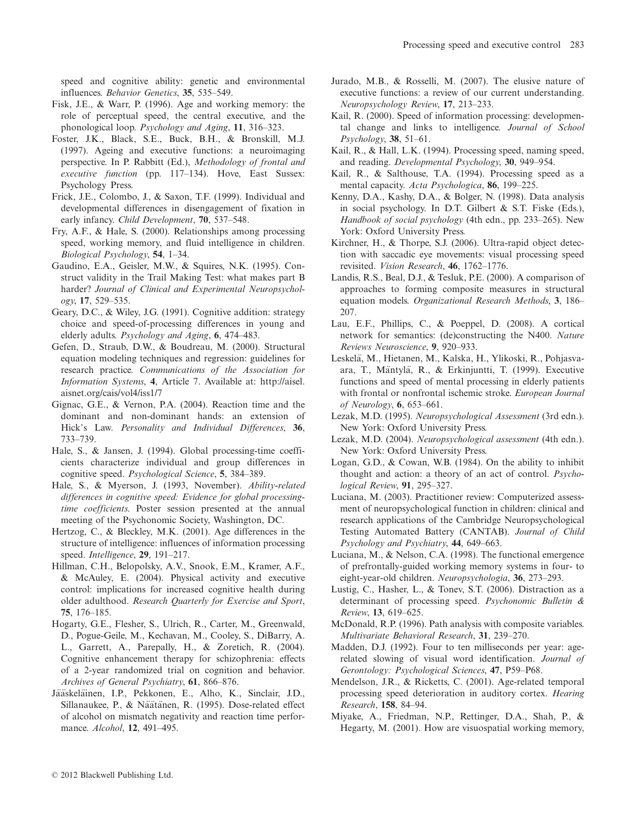speed and cognitive ability: genetic and environmental influences. Behavior Genetics, 35, 535–549.

- Fisk, J.E., & Warr, P. (1996). Age and working memory: the role of perceptual speed, the central executive, and the phonological loop. Psychology and Aging, 11, 316–323.
- Foster, J.K., Black, S.E., Buck, B.H., & Bronskill, M.J. (1997). Ageing and executive functions: a neuroimaging perspective. In P. Rabbitt (Ed.), Methodology of frontal and executive function (pp. 117–134). Hove, East Sussex: Psychology Press.
- Frick, J.E., Colombo, J., & Saxon, T.F. (1999). Individual and developmental differences in disengagement of fixation in early infancy. Child Development, 70, 537–548.
- Fry, A.F., & Hale, S. (2000). Relationships among processing speed, working memory, and fluid intelligence in children. Biological Psychology, 54, 1–34.
- Gaudino, E.A., Geisler, M.W., & Squires, N.K. (1995). Construct validity in the Trail Making Test: what makes part B harder? Journal of Clinical and Experimental Neuropsychology, 17, 529–535.
- Geary, D.C., & Wiley, J.G. (1991). Cognitive addition: strategy choice and speed-of-processing differences in young and elderly adults. Psychology and Aging, 6, 474–483.
- Gefen, D., Straub, D.W., & Boudreau, M. (2000). Structural equation modeling techniques and regression: guidelines for research practice. Communications of the Association for Information Systems, 4, Article 7. Available at: http://aisel. aisnet.org/cais/vol4/iss1/7
- Gignac, G.E., & Vernon, P.A. (2004). Reaction time and the dominant and non-dominant hands: an extension of Hick's Law. Personality and Individual Differences, 36, 733–739.
- Hale, S., & Jansen, J. (1994). Global processing-time coefficients characterize individual and group differences in cognitive speed. Psychological Science, 5, 384–389.
- Hale, S., & Myerson, J. (1993, November). Ability-related differences in cognitive speed: Evidence for global processingtime coefficients. Poster session presented at the annual meeting of the Psychonomic Society, Washington, DC.
- Hertzog, C., & Bleckley, M.K. (2001). Age differences in the structure of intelligence: influences of information processing speed. Intelligence, 29, 191-217.
- Hillman, C.H., Belopolsky, A.V., Snook, E.M., Kramer, A.F., & McAuley, E. (2004). Physical activity and executive control: implications for increased cognitive health during older adulthood. Research Quarterly for Exercise and Sport, 75, 176–185.
- Hogarty, G.E., Flesher, S., Ulrich, R., Carter, M., Greenwald, D., Pogue-Geile, M., Kechavan, M., Cooley, S., DiBarry, A. L., Garrett, A., Parepally, H., & Zoretich, R. (2004). Cognitive enhancement therapy for schizophrenia: effects of a 2-year randomized trial on cognition and behavior. Archives of General Psychiatry, 61, 866–876.
- Jääskeläinen, I.P., Pekkonen, E., Alho, K., Sinclair, J.D., Sillanaukee, P., & Näätänen, R. (1995). Dose-related effect of alcohol on mismatch negativity and reaction time performance. Alcohol, 12, 491–495.
- Jurado, M.B., & Rosselli, M. (2007). The elusive nature of executive functions: a review of our current understanding. Neuropsychology Review, 17, 213–233.
- Kail, R. (2000). Speed of information processing: developmental change and links to intelligence. Journal of School Psychology, 38, 51–61.
- Kail, R., & Hall, L.K. (1994). Processing speed, naming speed, and reading. Developmental Psychology, 30, 949–954.
- Kail, R., & Salthouse, T.A. (1994). Processing speed as a mental capacity. Acta Psychologica, 86, 199–225.
- Kenny, D.A., Kashy, D.A., & Bolger, N. (1998). Data analysis in social psychology. In D.T. Gilbert & S.T. Fiske (Eds.), Handbook of social psychology (4th edn., pp. 233–265). New York: Oxford University Press.
- Kirchner, H., & Thorpe, S.J. (2006). Ultra-rapid object detection with saccadic eye movements: visual processing speed revisited. Vision Research, 46, 1762–1776.
- Landis, R.S., Beal, D.J., & Tesluk, P.E. (2000). A comparison of approaches to forming composite measures in structural equation models. Organizational Research Methods, 3, 186– 207.
- Lau, E.F., Phillips, C., & Poeppel, D. (2008). A cortical network for semantics: (de)constructing the N400. Nature Reviews Neuroscience, 9, 920–933.
- Leskelä, M., Hietanen, M., Kalska, H., Ylikoski, R., Pohjasvaara, T., Mäntylä, R., & Erkinjuntti, T. (1999). Executive functions and speed of mental processing in elderly patients with frontal or nonfrontal ischemic stroke. European Journal of Neurology, 6, 653–661.
- Lezak, M.D. (1995). Neuropsychological Assessment (3rd edn.). New York: Oxford University Press.
- Lezak, M.D. (2004). Neuropsychological assessment (4th edn.). New York: Oxford University Press.
- Logan, G.D., & Cowan, W.B. (1984). On the ability to inhibit thought and action: a theory of an act of control. Psychological Review, 91, 295–327.
- Luciana, M. (2003). Practitioner review: Computerized assessment of neuropsychological function in children: clinical and research applications of the Cambridge Neuropsychological Testing Automated Battery (CANTAB). Journal of Child Psychology and Psychiatry, 44, 649–663.
- Luciana, M., & Nelson, C.A. (1998). The functional emergence of prefrontally-guided working memory systems in four- to eight-year-old children. Neuropsychologia, 36, 273–293.
- Lustig, C., Hasher, L., & Tonev, S.T. (2006). Distraction as a determinant of processing speed. Psychonomic Bulletin & Review, 13, 619–625.
- McDonald, R.P. (1996). Path analysis with composite variables. Multivariate Behavioral Research, 31, 239–270.
- Madden, D.J. (1992). Four to ten milliseconds per year: agerelated slowing of visual word identification. Journal of Gerontology: Psychological Sciences, 47, P59–P68.
- Mendelson, J.R., & Ricketts, C. (2001). Age-related temporal processing speed deterioration in auditory cortex. Hearing Research, 158, 84–94.
- Miyake, A., Friedman, N.P., Rettinger, D.A., Shah, P., & Hegarty, M. (2001). How are visuospatial working memory,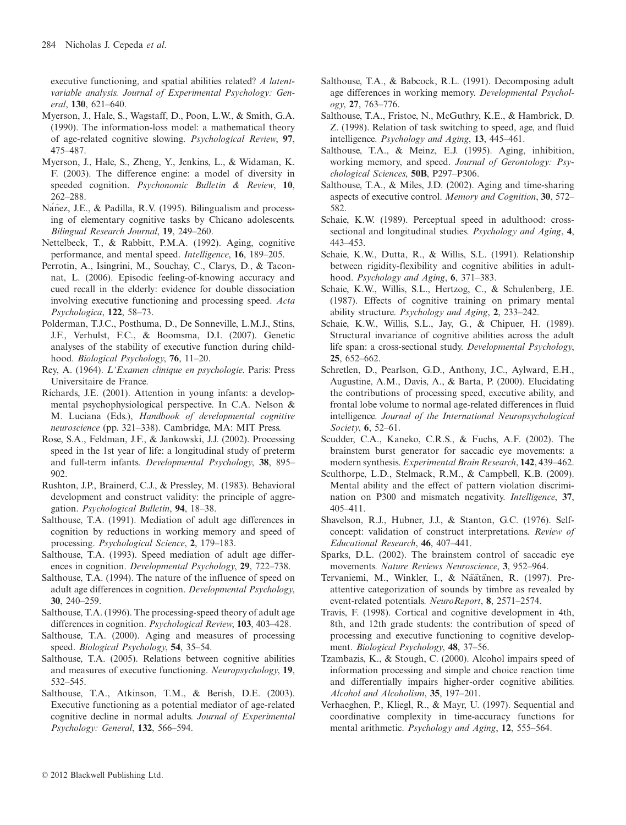executive functioning, and spatial abilities related? A latentvariable analysis. Journal of Experimental Psychology: General, 130, 621–640.

- Myerson, J., Hale, S., Wagstaff, D., Poon, L.W., & Smith, G.A. (1990). The information-loss model: a mathematical theory of age-related cognitive slowing. Psychological Review, 97, 475–487.
- Myerson, J., Hale, S., Zheng, Y., Jenkins, L., & Widaman, K. F. (2003). The difference engine: a model of diversity in speeded cognition. Psychonomic Bulletin & Review, 10, 262–288.
- Nañez, J.E., & Padilla, R.V. (1995). Bilingualism and processing of elementary cognitive tasks by Chicano adolescents. Bilingual Research Journal, 19, 249–260.
- Nettelbeck, T., & Rabbitt, P.M.A. (1992). Aging, cognitive performance, and mental speed. Intelligence, 16, 189–205.
- Perrotin, A., Isingrini, M., Souchay, C., Clarys, D., & Taconnat, L. (2006). Episodic feeling-of-knowing accuracy and cued recall in the elderly: evidence for double dissociation involving executive functioning and processing speed. Acta Psychologica, 122, 58–73.
- Polderman, T.J.C., Posthuma, D., De Sonneville, L.M.J., Stins, J.F., Verhulst, F.C., & Boomsma, D.I. (2007). Genetic analyses of the stability of executive function during childhood. Biological Psychology, 76, 11–20.
- Rey, A. (1964). L'Examen clinique en psychologie. Paris: Press Universitaire de France.
- Richards, J.E. (2001). Attention in young infants: a developmental psychophysiological perspective. In C.A. Nelson & M. Luciana (Eds.), Handbook of developmental cognitive neuroscience (pp. 321–338). Cambridge, MA: MIT Press.
- Rose, S.A., Feldman, J.F., & Jankowski, J.J. (2002). Processing speed in the 1st year of life: a longitudinal study of preterm and full-term infants. Developmental Psychology, 38, 895– 902.
- Rushton, J.P., Brainerd, C.J., & Pressley, M. (1983). Behavioral development and construct validity: the principle of aggregation. Psychological Bulletin, 94, 18–38.
- Salthouse, T.A. (1991). Mediation of adult age differences in cognition by reductions in working memory and speed of processing. Psychological Science, 2, 179–183.
- Salthouse, T.A. (1993). Speed mediation of adult age differences in cognition. Developmental Psychology, 29, 722–738.
- Salthouse, T.A. (1994). The nature of the influence of speed on adult age differences in cognition. Developmental Psychology, 30, 240–259.
- Salthouse, T.A. (1996). The processing-speed theory of adult age differences in cognition. Psychological Review, 103, 403–428.
- Salthouse, T.A. (2000). Aging and measures of processing speed. Biological Psychology, 54, 35–54.
- Salthouse, T.A. (2005). Relations between cognitive abilities and measures of executive functioning. Neuropsychology, 19, 532–545.
- Salthouse, T.A., Atkinson, T.M., & Berish, D.E. (2003). Executive functioning as a potential mediator of age-related cognitive decline in normal adults. Journal of Experimental Psychology: General, 132, 566–594.
- Salthouse, T.A., & Babcock, R.L. (1991). Decomposing adult age differences in working memory. Developmental Psychology, 27, 763–776.
- Salthouse, T.A., Fristoe, N., McGuthry, K.E., & Hambrick, D. Z. (1998). Relation of task switching to speed, age, and fluid intelligence. Psychology and Aging, 13, 445–461.
- Salthouse, T.A., & Meinz, E.J. (1995). Aging, inhibition, working memory, and speed. Journal of Gerontology: Psychological Sciences, 50B, P297–P306.
- Salthouse, T.A., & Miles, J.D. (2002). Aging and time-sharing aspects of executive control. Memory and Cognition, 30, 572– 582.
- Schaie, K.W. (1989). Perceptual speed in adulthood: crosssectional and longitudinal studies. Psychology and Aging, 4, 443–453.
- Schaie, K.W., Dutta, R., & Willis, S.L. (1991). Relationship between rigidity-flexibility and cognitive abilities in adulthood. Psychology and Aging, 6, 371–383.
- Schaie, K.W., Willis, S.L., Hertzog, C., & Schulenberg, J.E. (1987). Effects of cognitive training on primary mental ability structure. Psychology and Aging, 2, 233–242.
- Schaie, K.W., Willis, S.L., Jay, G., & Chipuer, H. (1989). Structural invariance of cognitive abilities across the adult life span: a cross-sectional study. Developmental Psychology, 25, 652–662.
- Schretlen, D., Pearlson, G.D., Anthony, J.C., Aylward, E.H., Augustine, A.M., Davis, A., & Barta, P. (2000). Elucidating the contributions of processing speed, executive ability, and frontal lobe volume to normal age-related differences in fluid intelligence. Journal of the International Neuropsychological Society, **6**, 52-61.
- Scudder, C.A., Kaneko, C.R.S., & Fuchs, A.F. (2002). The brainstem burst generator for saccadic eye movements: a modern synthesis. Experimental Brain Research, 142, 439–462.
- Sculthorpe, L.D., Stelmack, R.M., & Campbell, K.B. (2009). Mental ability and the effect of pattern violation discrimination on P300 and mismatch negativity. Intelligence, 37, 405–411.
- Shavelson, R.J., Hubner, J.J., & Stanton, G.C. (1976). Selfconcept: validation of construct interpretations. Review of Educational Research, 46, 407–441.
- Sparks, D.L. (2002). The brainstem control of saccadic eye movements. Nature Reviews Neuroscience, 3, 952-964.
- Tervaniemi, M., Winkler, I., & Näätänen, R. (1997). Preattentive categorization of sounds by timbre as revealed by event-related potentials. NeuroReport, 8, 2571–2574.
- Travis, F. (1998). Cortical and cognitive development in 4th, 8th, and 12th grade students: the contribution of speed of processing and executive functioning to cognitive development. Biological Psychology, 48, 37–56.
- Tzambazis, K., & Stough, C. (2000). Alcohol impairs speed of information processing and simple and choice reaction time and differentially impairs higher-order cognitive abilities. Alcohol and Alcoholism, 35, 197–201.
- Verhaeghen, P., Kliegl, R., & Mayr, U. (1997). Sequential and coordinative complexity in time-accuracy functions for mental arithmetic. Psychology and Aging, 12, 555–564.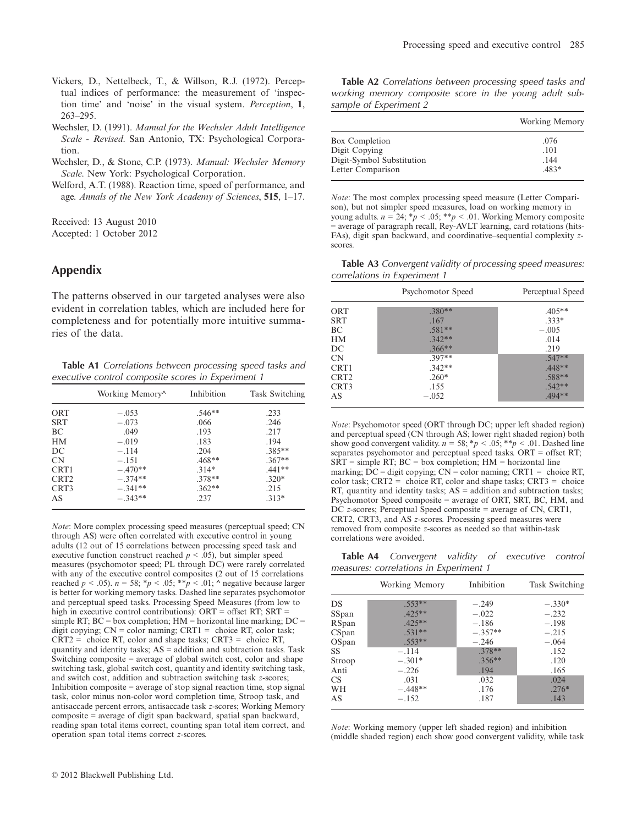- Vickers, D., Nettelbeck, T., & Willson, R.J. (1972). Perceptual indices of performance: the measurement of 'inspection time' and 'noise' in the visual system. Perception, 1, 263–295.
- Wechsler, D. (1991). Manual for the Wechsler Adult Intelligence Scale - Revised. San Antonio, TX: Psychological Corporation.
- Wechsler, D., & Stone, C.P. (1973). Manual: Wechsler Memory Scale. New York: Psychological Corporation.
- Welford, A.T. (1988). Reaction time, speed of performance, and age. Annals of the New York Academy of Sciences, 515, 1–17.

Received: 13 August 2010 Accepted: 1 October 2012

## Appendix

The patterns observed in our targeted analyses were also evident in correlation tables, which are included here for completeness and for potentially more intuitive summaries of the data.

Table A1 Correlations between processing speed tasks and executive control composite scores in Experiment 1

|                  | Working Memory <sup>^</sup> | Inhibition | Task Switching |
|------------------|-----------------------------|------------|----------------|
| <b>ORT</b>       | $-.053$                     | $.546**$   | .233           |
| <b>SRT</b>       | $-.073$                     | .066       | .246           |
| BC               | .049                        | .193       | .217           |
| HM               | $-.019$                     | .183       | .194           |
| DC               | $-.114$                     | .204       | $.385***$      |
| CN               | $-.151$                     | $.468**$   | $.367**$       |
| CRT1             | $-.470**$                   | $.314*$    | $.441**$       |
| CRT <sub>2</sub> | $-.374**$                   | $.378**$   | $.320*$        |
| CRT <sub>3</sub> | $-.341**$                   | $.362**$   | .215           |
| AS               | $-343**$                    | .237       | $.313*$        |

Note: More complex processing speed measures (perceptual speed; CN through AS) were often correlated with executive control in young adults (12 out of 15 correlations between processing speed task and executive function construct reached  $p < .05$ ), but simpler speed measures (psychomotor speed; PL through DC) were rarely correlated with any of the executive control composites (2 out of 15 correlations reached  $p < .05$ ).  $n = 58$ ; \* $p < .05$ ; \*\* $p < .01$ ; ^ negative because larger is better for working memory tasks. Dashed line separates psychomotor and perceptual speed tasks. Processing Speed Measures (from low to high in executive control contributions): ORT = offset RT; SRT = simple RT;  $BC = box$  completion;  $HM = horizontal$  line marking;  $DC =$ digit copying; CN = color naming; CRT1 = choice RT, color task; CRT2 = choice RT, color and shape tasks; CRT3 = choice RT, quantity and identity tasks; AS = addition and subtraction tasks. Task Switching composite  $=$  average of global switch cost, color and shape switching task, global switch cost, quantity and identity switching task, and switch cost, addition and subtraction switching task z-scores; Inhibition composite = average of stop signal reaction time, stop signal task, color minus non-color word completion time, Stroop task, and antisaccade percent errors, antisaccade task z-scores; Working Memory composite = average of digit span backward, spatial span backward, reading span total items correct, counting span total item correct, and operation span total items correct z-scores.

Table A2 Correlations between processing speed tasks and working memory composite score in the young adult subsample of Experiment 2

|                           | Working Memory |
|---------------------------|----------------|
| Box Completion            | .076           |
| Digit Copying             | .101           |
| Digit-Symbol Substitution | .144           |
| Letter Comparison         | $.483*$        |

Note: The most complex processing speed measure (Letter Comparison), but not simpler speed measures, load on working memory in young adults.  $n = 24$ ;  $* p < .05$ ;  $** p < .01$ . Working Memory composite = average of paragraph recall, Rey-AVLT learning, card rotations (hits-FAs), digit span backward, and coordinative–sequential complexity zscores.

Table A3 Convergent validity of processing speed measures: correlations in Experiment 1

| $.405**$ |
|----------|
| $.333*$  |
| $-.005$  |
| .014     |
| .219     |
| $.547**$ |
| $.448**$ |
| $.588**$ |
| $.542**$ |
| $.494**$ |
|          |

Note: Psychomotor speed (ORT through DC; upper left shaded region) and perceptual speed (CN through AS; lower right shaded region) both show good convergent validity.  $n = 58$ ; \* $p < .05$ ; \*\* $p < .01$ . Dashed line separates psychomotor and perceptual speed tasks. ORT = offset RT;  $SRT =$  simple RT;  $BC =$  box completion;  $HM =$  horizontal line marking;  $DC =$  digit copying;  $CN =$  color naming;  $CRT1 =$  choice RT, color task;  $CRT2 =$  choice RT, color and shape tasks;  $CRT3 =$  choice RT, quantity and identity tasks;  $AS =$  addition and subtraction tasks; Psychomotor Speed composite = average of ORT, SRT, BC, HM, and DC z-scores; Perceptual Speed composite = average of CN, CRT1, CRT2, CRT3, and AS z-scores. Processing speed measures were removed from composite z-scores as needed so that within-task correlations were avoided.

Table A4 Convergent validity of executive control measures: correlations in Experiment 1

|        | Working Memory | Inhibition | Task Switching |
|--------|----------------|------------|----------------|
| DS     | 553**          | $-.249$    | $-.330*$       |
| SSpan  | $.425**$       | $-.022$    | $-.232$        |
| RSpan  | $.425**$       | $-.186$    | $-.198$        |
| CSpan  | $.531**$       | $-.357**$  | $-.215$        |
| OSpan  | $553**$        | $-.246$    | $-.064$        |
| SS     | $-.114$        | 378**      | .152           |
| Stroop | $-.301*$       | $.356**$   | .120           |
| Anti   | $-.226$        | .194       | .165           |
| CS.    | .031           | .032       | .024           |
| WH     | $-.448**$      | .176       | $.276*$        |
| AS     | $-.152$        | .187       | .143           |

Note: Working memory (upper left shaded region) and inhibition (middle shaded region) each show good convergent validity, while task